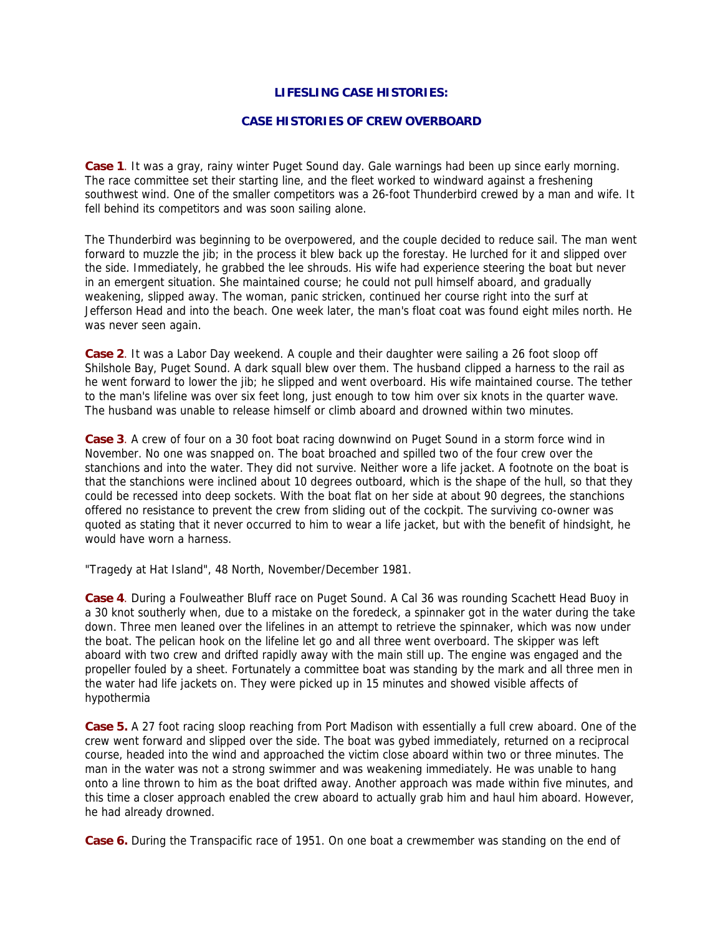# **LIFESLING CASE HISTORIES:**

## **CASE HISTORIES OF CREW OVERBOARD**

**Case 1**. It was a gray, rainy winter Puget Sound day. Gale warnings had been up since early morning. The race committee set their starting line, and the fleet worked to windward against a freshening southwest wind. One of the smaller competitors was a 26-foot Thunderbird crewed by a man and wife. It fell behind its competitors and was soon sailing alone.

The Thunderbird was beginning to be overpowered, and the couple decided to reduce sail. The man went forward to muzzle the jib; in the process it blew back up the forestay. He lurched for it and slipped over the side. Immediately, he grabbed the lee shrouds. His wife had experience steering the boat but never in an emergent situation. She maintained course; he could not pull himself aboard, and gradually weakening, slipped away. The woman, panic stricken, continued her course right into the surf at Jefferson Head and into the beach. One week later, the man's float coat was found eight miles north. He was never seen again.

**Case 2**. It was a Labor Day weekend. A couple and their daughter were sailing a 26 foot sloop off Shilshole Bay, Puget Sound. A dark squall blew over them. The husband clipped a harness to the rail as he went forward to lower the jib; he slipped and went overboard. His wife maintained course. The tether to the man's lifeline was over six feet long, just enough to tow him over six knots in the quarter wave. The husband was unable to release himself or climb aboard and drowned within two minutes.

**Case 3**. A crew of four on a 30 foot boat racing downwind on Puget Sound in a storm force wind in November. No one was snapped on. The boat broached and spilled two of the four crew over the stanchions and into the water. They did not survive. Neither wore a life jacket. A footnote on the boat is that the stanchions were inclined about 10 degrees outboard, which is the shape of the hull, so that they could be recessed into deep sockets. With the boat flat on her side at about 90 degrees, the stanchions offered no resistance to prevent the crew from sliding out of the cockpit. The surviving co-owner was quoted as stating that it never occurred to him to wear a life jacket, but with the benefit of hindsight, he would have worn a harness.

"Tragedy at Hat Island", 48 North, November/December 1981.

**Case 4**. During a Foulweather Bluff race on Puget Sound. A Cal 36 was rounding Scachett Head Buoy in a 30 knot southerly when, due to a mistake on the foredeck, a spinnaker got in the water during the take down. Three men leaned over the lifelines in an attempt to retrieve the spinnaker, which was now under the boat. The pelican hook on the lifeline let go and all three went overboard. The skipper was left aboard with two crew and drifted rapidly away with the main still up. The engine was engaged and the propeller fouled by a sheet. Fortunately a committee boat was standing by the mark and all three men in the water had life jackets on. They were picked up in 15 minutes and showed visible affects of hypothermia

**Case 5.** A 27 foot racing sloop reaching from Port Madison with essentially a full crew aboard. One of the crew went forward and slipped over the side. The boat was gybed immediately, returned on a reciprocal course, headed into the wind and approached the victim close aboard within two or three minutes. The man in the water was not a strong swimmer and was weakening immediately. He was unable to hang onto a line thrown to him as the boat drifted away. Another approach was made within five minutes, and this time a closer approach enabled the crew aboard to actually grab him and haul him aboard. However, he had already drowned.

**Case 6.** During the Transpacific race of 1951. On one boat a crewmember was standing on the end of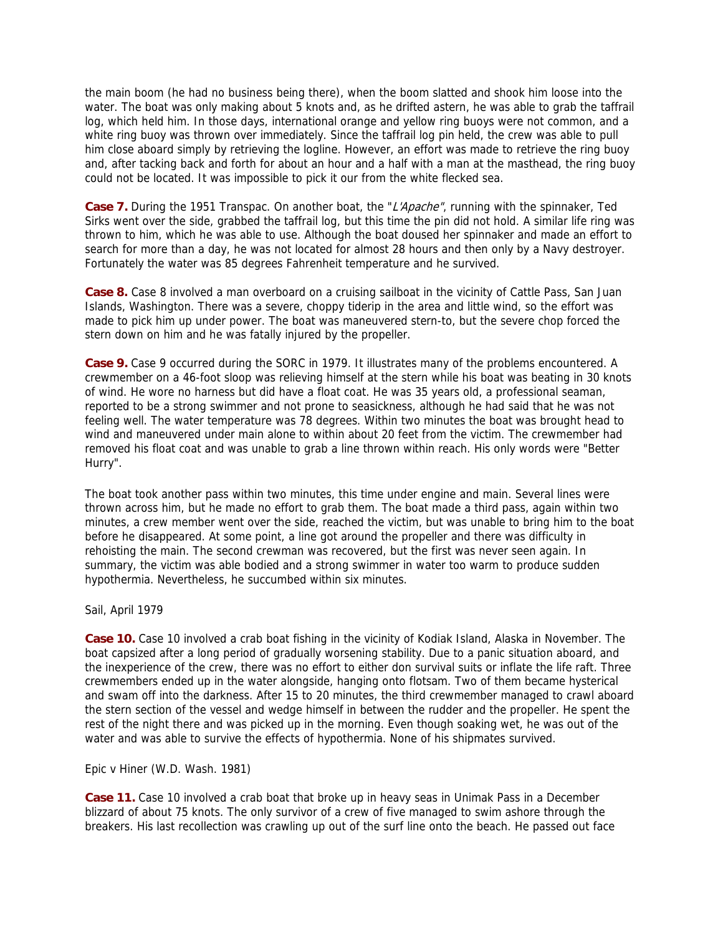the main boom (he had no business being there), when the boom slatted and shook him loose into the water. The boat was only making about 5 knots and, as he drifted astern, he was able to grab the taffrail log, which held him. In those days, international orange and yellow ring buoys were not common, and a white ring buoy was thrown over immediately. Since the taffrail log pin held, the crew was able to pull him close aboard simply by retrieving the logline. However, an effort was made to retrieve the ring buoy and, after tacking back and forth for about an hour and a half with a man at the masthead, the ring buoy could not be located. It was impossible to pick it our from the white flecked sea.

Case 7. During the 1951 Transpac. On another boat, the "*L'Apache"*, running with the spinnaker, Ted Sirks went over the side, grabbed the taffrail log, but this time the pin did not hold. A similar life ring was thrown to him, which he was able to use. Although the boat doused her spinnaker and made an effort to search for more than a day, he was not located for almost 28 hours and then only by a Navy destroyer. Fortunately the water was 85 degrees Fahrenheit temperature and he survived.

**Case 8.** Case 8 involved a man overboard on a cruising sailboat in the vicinity of Cattle Pass, San Juan Islands, Washington. There was a severe, choppy tiderip in the area and little wind, so the effort was made to pick him up under power. The boat was maneuvered stern-to, but the severe chop forced the stern down on him and he was fatally injured by the propeller.

**Case 9.** Case 9 occurred during the SORC in 1979. It illustrates many of the problems encountered. A crewmember on a 46-foot sloop was relieving himself at the stern while his boat was beating in 30 knots of wind. He wore no harness but did have a float coat. He was 35 years old, a professional seaman, reported to be a strong swimmer and not prone to seasickness, although he had said that he was not feeling well. The water temperature was 78 degrees. Within two minutes the boat was brought head to wind and maneuvered under main alone to within about 20 feet from the victim. The crewmember had removed his float coat and was unable to grab a line thrown within reach. His only words were "Better Hurry".

The boat took another pass within two minutes, this time under engine and main. Several lines were thrown across him, but he made no effort to grab them. The boat made a third pass, again within two minutes, a crew member went over the side, reached the victim, but was unable to bring him to the boat before he disappeared. At some point, a line got around the propeller and there was difficulty in rehoisting the main. The second crewman was recovered, but the first was never seen again. In summary, the victim was able bodied and a strong swimmer in water too warm to produce sudden hypothermia. Nevertheless, he succumbed within six minutes.

Sail, April 1979

**Case 10.** Case 10 involved a crab boat fishing in the vicinity of Kodiak Island, Alaska in November. The boat capsized after a long period of gradually worsening stability. Due to a panic situation aboard, and the inexperience of the crew, there was no effort to either don survival suits or inflate the life raft. Three crewmembers ended up in the water alongside, hanging onto flotsam. Two of them became hysterical and swam off into the darkness. After 15 to 20 minutes, the third crewmember managed to crawl aboard the stern section of the vessel and wedge himself in between the rudder and the propeller. He spent the rest of the night there and was picked up in the morning. Even though soaking wet, he was out of the water and was able to survive the effects of hypothermia. None of his shipmates survived.

Epic v Hiner (W.D. Wash. 1981)

**Case 11.** Case 10 involved a crab boat that broke up in heavy seas in Unimak Pass in a December blizzard of about 75 knots. The only survivor of a crew of five managed to swim ashore through the breakers. His last recollection was crawling up out of the surf line onto the beach. He passed out face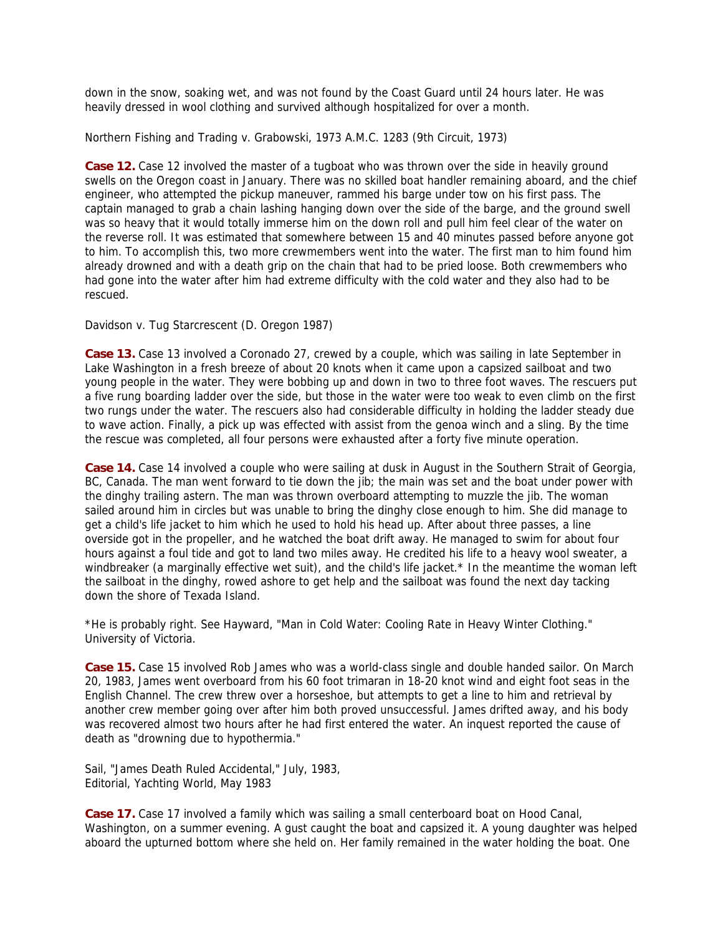down in the snow, soaking wet, and was not found by the Coast Guard until 24 hours later. He was heavily dressed in wool clothing and survived although hospitalized for over a month.

Northern Fishing and Trading v. Grabowski, 1973 A.M.C. 1283 (9th Circuit, 1973)

**Case 12.** Case 12 involved the master of a tugboat who was thrown over the side in heavily ground swells on the Oregon coast in January. There was no skilled boat handler remaining aboard, and the chief engineer, who attempted the pickup maneuver, rammed his barge under tow on his first pass. The captain managed to grab a chain lashing hanging down over the side of the barge, and the ground swell was so heavy that it would totally immerse him on the down roll and pull him feel clear of the water on the reverse roll. It was estimated that somewhere between 15 and 40 minutes passed before anyone got to him. To accomplish this, two more crewmembers went into the water. The first man to him found him already drowned and with a death grip on the chain that had to be pried loose. Both crewmembers who had gone into the water after him had extreme difficulty with the cold water and they also had to be rescued.

Davidson v. Tug Starcrescent (D. Oregon 1987)

**Case 13.** Case 13 involved a Coronado 27, crewed by a couple, which was sailing in late September in Lake Washington in a fresh breeze of about 20 knots when it came upon a capsized sailboat and two young people in the water. They were bobbing up and down in two to three foot waves. The rescuers put a five rung boarding ladder over the side, but those in the water were too weak to even climb on the first two rungs under the water. The rescuers also had considerable difficulty in holding the ladder steady due to wave action. Finally, a pick up was effected with assist from the genoa winch and a sling. By the time the rescue was completed, all four persons were exhausted after a forty five minute operation.

**Case 14.** Case 14 involved a couple who were sailing at dusk in August in the Southern Strait of Georgia, BC, Canada. The man went forward to tie down the jib; the main was set and the boat under power with the dinghy trailing astern. The man was thrown overboard attempting to muzzle the jib. The woman sailed around him in circles but was unable to bring the dinghy close enough to him. She did manage to get a child's life jacket to him which he used to hold his head up. After about three passes, a line overside got in the propeller, and he watched the boat drift away. He managed to swim for about four hours against a foul tide and got to land two miles away. He credited his life to a heavy wool sweater, a windbreaker (a marginally effective wet suit), and the child's life jacket.\* In the meantime the woman left the sailboat in the dinghy, rowed ashore to get help and the sailboat was found the next day tacking down the shore of Texada Island.

\*He is probably right. See Hayward, "Man in Cold Water: Cooling Rate in Heavy Winter Clothing." University of Victoria.

**Case 15.** Case 15 involved Rob James who was a world-class single and double handed sailor. On March 20, 1983, James went overboard from his 60 foot trimaran in 18-20 knot wind and eight foot seas in the English Channel. The crew threw over a horseshoe, but attempts to get a line to him and retrieval by another crew member going over after him both proved unsuccessful. James drifted away, and his body was recovered almost two hours after he had first entered the water. An inquest reported the cause of death as "drowning due to hypothermia."

Sail, "James Death Ruled Accidental," July, 1983, Editorial, Yachting World, May 1983

**Case 17.** Case 17 involved a family which was sailing a small centerboard boat on Hood Canal, Washington, on a summer evening. A gust caught the boat and capsized it. A young daughter was helped aboard the upturned bottom where she held on. Her family remained in the water holding the boat. One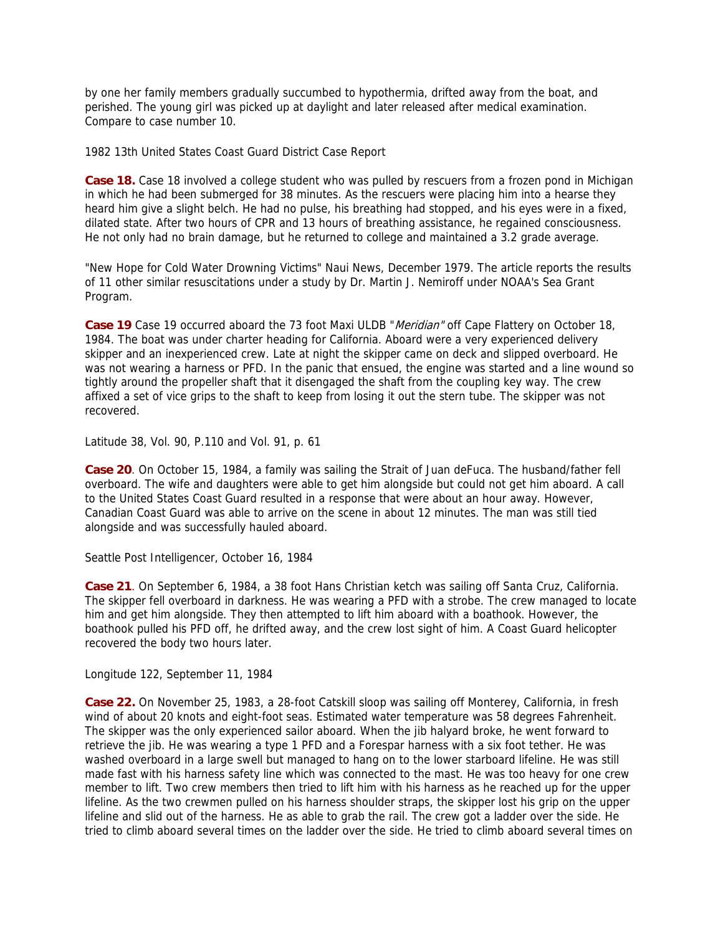by one her family members gradually succumbed to hypothermia, drifted away from the boat, and perished. The young girl was picked up at daylight and later released after medical examination. Compare to case number 10.

1982 13th United States Coast Guard District Case Report

**Case 18.** Case 18 involved a college student who was pulled by rescuers from a frozen pond in Michigan in which he had been submerged for 38 minutes. As the rescuers were placing him into a hearse they heard him give a slight belch. He had no pulse, his breathing had stopped, and his eyes were in a fixed, dilated state. After two hours of CPR and 13 hours of breathing assistance, he regained consciousness. He not only had no brain damage, but he returned to college and maintained a 3.2 grade average.

"New Hope for Cold Water Drowning Victims" Naui News, December 1979. The article reports the results of 11 other similar resuscitations under a study by Dr. Martin J. Nemiroff under NOAA's Sea Grant Program.

Case 19 Case 19 occurred aboard the 73 foot Maxi ULDB "Meridian" off Cape Flattery on October 18, 1984. The boat was under charter heading for California. Aboard were a very experienced delivery skipper and an inexperienced crew. Late at night the skipper came on deck and slipped overboard. He was not wearing a harness or PFD. In the panic that ensued, the engine was started and a line wound so tightly around the propeller shaft that it disengaged the shaft from the coupling key way. The crew affixed a set of vice grips to the shaft to keep from losing it out the stern tube. The skipper was not recovered.

Latitude 38, Vol. 90, P.110 and Vol. 91, p. 61

**Case 20**. On October 15, 1984, a family was sailing the Strait of Juan deFuca. The husband/father fell overboard. The wife and daughters were able to get him alongside but could not get him aboard. A call to the United States Coast Guard resulted in a response that were about an hour away. However, Canadian Coast Guard was able to arrive on the scene in about 12 minutes. The man was still tied alongside and was successfully hauled aboard.

Seattle Post Intelligencer, October 16, 1984

**Case 21**. On September 6, 1984, a 38 foot Hans Christian ketch was sailing off Santa Cruz, California. The skipper fell overboard in darkness. He was wearing a PFD with a strobe. The crew managed to locate him and get him alongside. They then attempted to lift him aboard with a boathook. However, the boathook pulled his PFD off, he drifted away, and the crew lost sight of him. A Coast Guard helicopter recovered the body two hours later.

Longitude 122, September 11, 1984

**Case 22.** On November 25, 1983, a 28-foot Catskill sloop was sailing off Monterey, California, in fresh wind of about 20 knots and eight-foot seas. Estimated water temperature was 58 degrees Fahrenheit. The skipper was the only experienced sailor aboard. When the jib halyard broke, he went forward to retrieve the jib. He was wearing a type 1 PFD and a Forespar harness with a six foot tether. He was washed overboard in a large swell but managed to hang on to the lower starboard lifeline. He was still made fast with his harness safety line which was connected to the mast. He was too heavy for one crew member to lift. Two crew members then tried to lift him with his harness as he reached up for the upper lifeline. As the two crewmen pulled on his harness shoulder straps, the skipper lost his grip on the upper lifeline and slid out of the harness. He as able to grab the rail. The crew got a ladder over the side. He tried to climb aboard several times on the ladder over the side. He tried to climb aboard several times on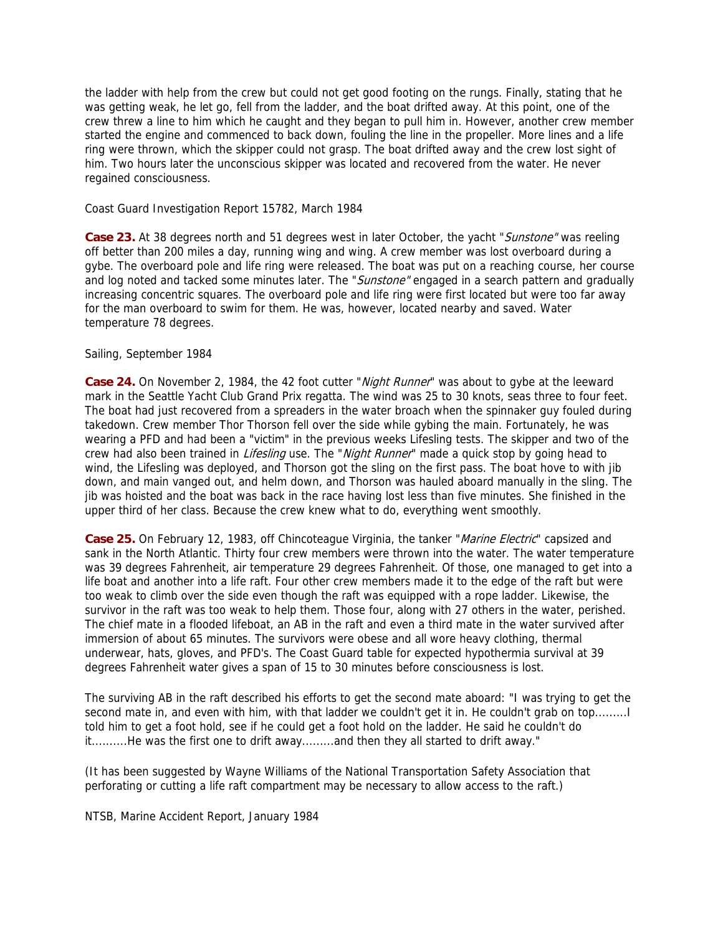the ladder with help from the crew but could not get good footing on the rungs. Finally, stating that he was getting weak, he let go, fell from the ladder, and the boat drifted away. At this point, one of the crew threw a line to him which he caught and they began to pull him in. However, another crew member started the engine and commenced to back down, fouling the line in the propeller. More lines and a life ring were thrown, which the skipper could not grasp. The boat drifted away and the crew lost sight of him. Two hours later the unconscious skipper was located and recovered from the water. He never regained consciousness.

Coast Guard Investigation Report 15782, March 1984

**Case 23.** At 38 degrees north and 51 degrees west in later October, the yacht "Sunstone" was reeling off better than 200 miles a day, running wing and wing. A crew member was lost overboard during a gybe. The overboard pole and life ring were released. The boat was put on a reaching course, her course and log noted and tacked some minutes later. The "Sunstone" engaged in a search pattern and gradually increasing concentric squares. The overboard pole and life ring were first located but were too far away for the man overboard to swim for them. He was, however, located nearby and saved. Water temperature 78 degrees.

#### Sailing, September 1984

Case 24. On November 2, 1984, the 42 foot cutter "*Night Runner*" was about to gybe at the leeward mark in the Seattle Yacht Club Grand Prix regatta. The wind was 25 to 30 knots, seas three to four feet. The boat had just recovered from a spreaders in the water broach when the spinnaker guy fouled during takedown. Crew member Thor Thorson fell over the side while gybing the main. Fortunately, he was wearing a PFD and had been a "victim" in the previous weeks Lifesling tests. The skipper and two of the crew had also been trained in Lifesling use. The "Night Runner" made a quick stop by going head to wind, the Lifesling was deployed, and Thorson got the sling on the first pass. The boat hove to with jib down, and main vanged out, and helm down, and Thorson was hauled aboard manually in the sling. The jib was hoisted and the boat was back in the race having lost less than five minutes. She finished in the upper third of her class. Because the crew knew what to do, everything went smoothly.

Case 25. On February 12, 1983, off Chincoteague Virginia, the tanker "*Marine Electric*" capsized and sank in the North Atlantic. Thirty four crew members were thrown into the water. The water temperature was 39 degrees Fahrenheit, air temperature 29 degrees Fahrenheit. Of those, one managed to get into a life boat and another into a life raft. Four other crew members made it to the edge of the raft but were too weak to climb over the side even though the raft was equipped with a rope ladder. Likewise, the survivor in the raft was too weak to help them. Those four, along with 27 others in the water, perished. The chief mate in a flooded lifeboat, an AB in the raft and even a third mate in the water survived after immersion of about 65 minutes. The survivors were obese and all wore heavy clothing, thermal underwear, hats, gloves, and PFD's. The Coast Guard table for expected hypothermia survival at 39 degrees Fahrenheit water gives a span of 15 to 30 minutes before consciousness is lost.

The surviving AB in the raft described his efforts to get the second mate aboard: "I was trying to get the second mate in, and even with him, with that ladder we couldn't get it in. He couldn't grab on top......... I told him to get a foot hold, see if he could get a foot hold on the ladder. He said he couldn't do it..........He was the first one to drift away.........and then they all started to drift away."

(It has been suggested by Wayne Williams of the National Transportation Safety Association that perforating or cutting a life raft compartment may be necessary to allow access to the raft.)

NTSB, Marine Accident Report, January 1984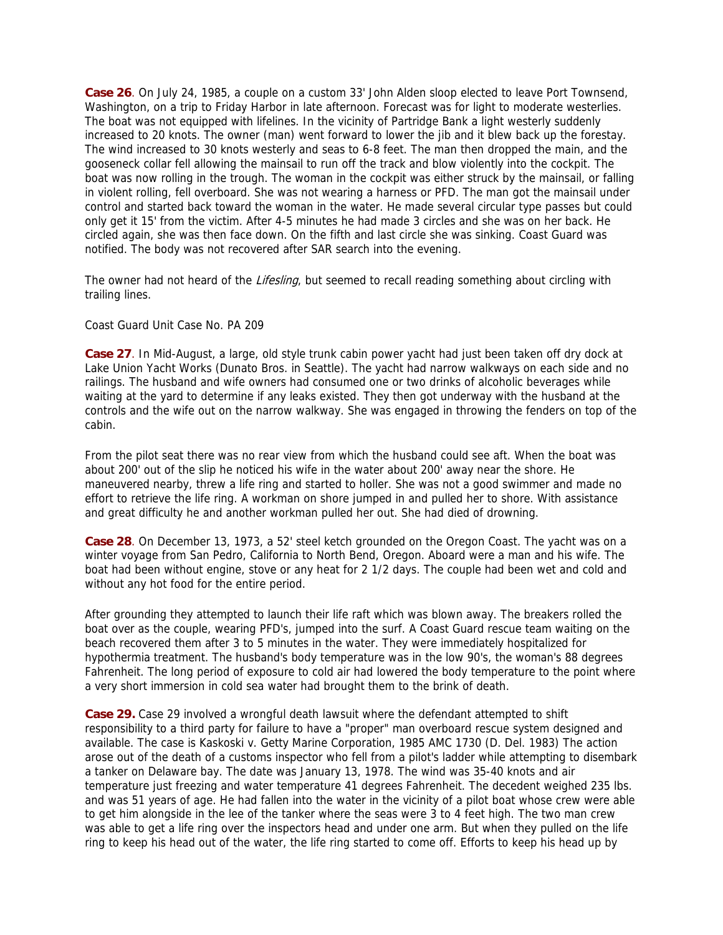**Case 26**. On July 24, 1985, a couple on a custom 33' John Alden sloop elected to leave Port Townsend, Washington, on a trip to Friday Harbor in late afternoon. Forecast was for light to moderate westerlies. The boat was not equipped with lifelines. In the vicinity of Partridge Bank a light westerly suddenly increased to 20 knots. The owner (man) went forward to lower the jib and it blew back up the forestay. The wind increased to 30 knots westerly and seas to 6-8 feet. The man then dropped the main, and the gooseneck collar fell allowing the mainsail to run off the track and blow violently into the cockpit. The boat was now rolling in the trough. The woman in the cockpit was either struck by the mainsail, or falling in violent rolling, fell overboard. She was not wearing a harness or PFD. The man got the mainsail under control and started back toward the woman in the water. He made several circular type passes but could only get it 15' from the victim. After 4-5 minutes he had made 3 circles and she was on her back. He circled again, she was then face down. On the fifth and last circle she was sinking. Coast Guard was notified. The body was not recovered after SAR search into the evening.

The owner had not heard of the Lifesling, but seemed to recall reading something about circling with trailing lines.

## Coast Guard Unit Case No. PA 209

**Case 27**. In Mid-August, a large, old style trunk cabin power yacht had just been taken off dry dock at Lake Union Yacht Works (Dunato Bros. in Seattle). The yacht had narrow walkways on each side and no railings. The husband and wife owners had consumed one or two drinks of alcoholic beverages while waiting at the yard to determine if any leaks existed. They then got underway with the husband at the controls and the wife out on the narrow walkway. She was engaged in throwing the fenders on top of the cabin.

From the pilot seat there was no rear view from which the husband could see aft. When the boat was about 200' out of the slip he noticed his wife in the water about 200' away near the shore. He maneuvered nearby, threw a life ring and started to holler. She was not a good swimmer and made no effort to retrieve the life ring. A workman on shore jumped in and pulled her to shore. With assistance and great difficulty he and another workman pulled her out. She had died of drowning.

**Case 28**. On December 13, 1973, a 52' steel ketch grounded on the Oregon Coast. The yacht was on a winter voyage from San Pedro, California to North Bend, Oregon. Aboard were a man and his wife. The boat had been without engine, stove or any heat for 2 1/2 days. The couple had been wet and cold and without any hot food for the entire period.

After grounding they attempted to launch their life raft which was blown away. The breakers rolled the boat over as the couple, wearing PFD's, jumped into the surf. A Coast Guard rescue team waiting on the beach recovered them after 3 to 5 minutes in the water. They were immediately hospitalized for hypothermia treatment. The husband's body temperature was in the low 90's, the woman's 88 degrees Fahrenheit. The long period of exposure to cold air had lowered the body temperature to the point where a very short immersion in cold sea water had brought them to the brink of death.

**Case 29.** Case 29 involved a wrongful death lawsuit where the defendant attempted to shift responsibility to a third party for failure to have a "proper" man overboard rescue system designed and available. The case is Kaskoski v. Getty Marine Corporation, 1985 AMC 1730 (D. Del. 1983) The action arose out of the death of a customs inspector who fell from a pilot's ladder while attempting to disembark a tanker on Delaware bay. The date was January 13, 1978. The wind was 35-40 knots and air temperature just freezing and water temperature 41 degrees Fahrenheit. The decedent weighed 235 lbs. and was 51 years of age. He had fallen into the water in the vicinity of a pilot boat whose crew were able to get him alongside in the lee of the tanker where the seas were 3 to 4 feet high. The two man crew was able to get a life ring over the inspectors head and under one arm. But when they pulled on the life ring to keep his head out of the water, the life ring started to come off. Efforts to keep his head up by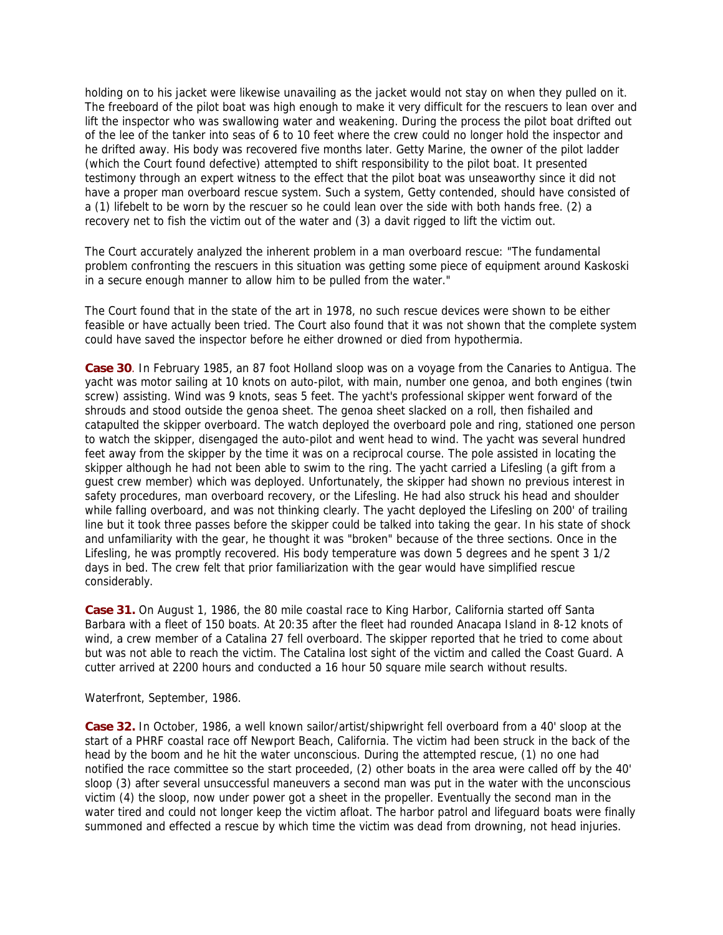holding on to his jacket were likewise unavailing as the jacket would not stay on when they pulled on it. The freeboard of the pilot boat was high enough to make it very difficult for the rescuers to lean over and lift the inspector who was swallowing water and weakening. During the process the pilot boat drifted out of the lee of the tanker into seas of 6 to 10 feet where the crew could no longer hold the inspector and he drifted away. His body was recovered five months later. Getty Marine, the owner of the pilot ladder (which the Court found defective) attempted to shift responsibility to the pilot boat. It presented testimony through an expert witness to the effect that the pilot boat was unseaworthy since it did not have a proper man overboard rescue system. Such a system, Getty contended, should have consisted of a (1) lifebelt to be worn by the rescuer so he could lean over the side with both hands free. (2) a recovery net to fish the victim out of the water and (3) a davit rigged to lift the victim out.

The Court accurately analyzed the inherent problem in a man overboard rescue: "The fundamental problem confronting the rescuers in this situation was getting some piece of equipment around Kaskoski in a secure enough manner to allow him to be pulled from the water."

The Court found that in the state of the art in 1978, no such rescue devices were shown to be either feasible or have actually been tried. The Court also found that it was not shown that the complete system could have saved the inspector before he either drowned or died from hypothermia.

**Case 30**. In February 1985, an 87 foot Holland sloop was on a voyage from the Canaries to Antigua. The yacht was motor sailing at 10 knots on auto-pilot, with main, number one genoa, and both engines (twin screw) assisting. Wind was 9 knots, seas 5 feet. The yacht's professional skipper went forward of the shrouds and stood outside the genoa sheet. The genoa sheet slacked on a roll, then fishailed and catapulted the skipper overboard. The watch deployed the overboard pole and ring, stationed one person to watch the skipper, disengaged the auto-pilot and went head to wind. The yacht was several hundred feet away from the skipper by the time it was on a reciprocal course. The pole assisted in locating the skipper although he had not been able to swim to the ring. The yacht carried a Lifesling (a gift from a guest crew member) which was deployed. Unfortunately, the skipper had shown no previous interest in safety procedures, man overboard recovery, or the Lifesling. He had also struck his head and shoulder while falling overboard, and was not thinking clearly. The yacht deployed the Lifesling on 200' of trailing line but it took three passes before the skipper could be talked into taking the gear. In his state of shock and unfamiliarity with the gear, he thought it was "broken" because of the three sections. Once in the Lifesling, he was promptly recovered. His body temperature was down 5 degrees and he spent 3 1/2 days in bed. The crew felt that prior familiarization with the gear would have simplified rescue considerably.

**Case 31.** On August 1, 1986, the 80 mile coastal race to King Harbor, California started off Santa Barbara with a fleet of 150 boats. At 20:35 after the fleet had rounded Anacapa Island in 8-12 knots of wind, a crew member of a Catalina 27 fell overboard. The skipper reported that he tried to come about but was not able to reach the victim. The Catalina lost sight of the victim and called the Coast Guard. A cutter arrived at 2200 hours and conducted a 16 hour 50 square mile search without results.

#### Waterfront, September, 1986.

**Case 32.** In October, 1986, a well known sailor/artist/shipwright fell overboard from a 40' sloop at the start of a PHRF coastal race off Newport Beach, California. The victim had been struck in the back of the head by the boom and he hit the water unconscious. During the attempted rescue, (1) no one had notified the race committee so the start proceeded, (2) other boats in the area were called off by the 40' sloop (3) after several unsuccessful maneuvers a second man was put in the water with the unconscious victim (4) the sloop, now under power got a sheet in the propeller. Eventually the second man in the water tired and could not longer keep the victim afloat. The harbor patrol and lifeguard boats were finally summoned and effected a rescue by which time the victim was dead from drowning, not head injuries.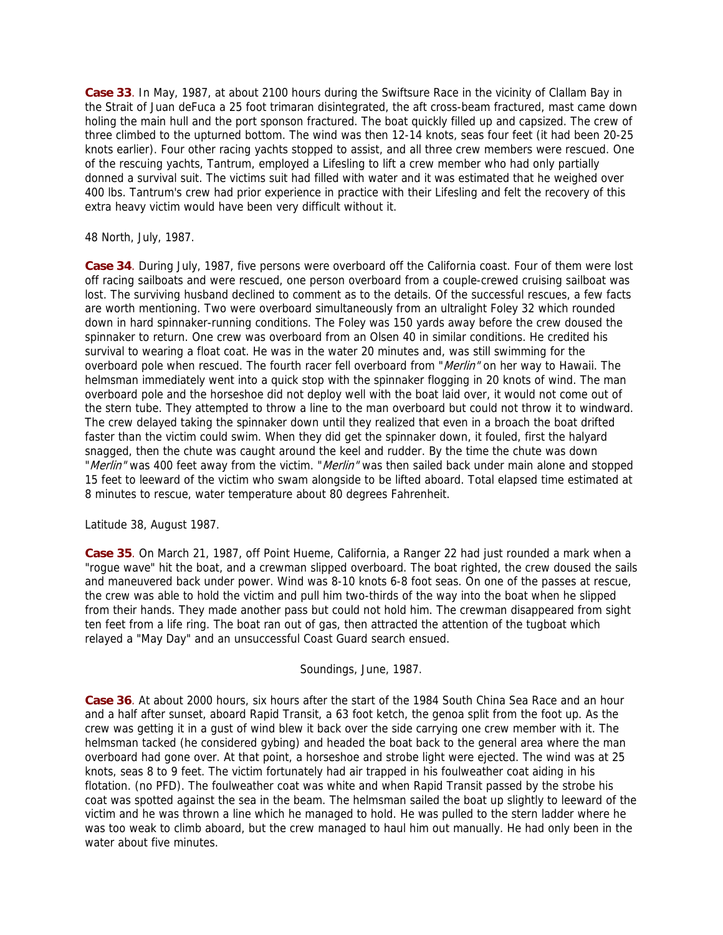**Case 33**. In May, 1987, at about 2100 hours during the Swiftsure Race in the vicinity of Clallam Bay in the Strait of Juan deFuca a 25 foot trimaran disintegrated, the aft cross-beam fractured, mast came down holing the main hull and the port sponson fractured. The boat quickly filled up and capsized. The crew of three climbed to the upturned bottom. The wind was then 12-14 knots, seas four feet (it had been 20-25 knots earlier). Four other racing yachts stopped to assist, and all three crew members were rescued. One of the rescuing yachts, Tantrum, employed a Lifesling to lift a crew member who had only partially donned a survival suit. The victims suit had filled with water and it was estimated that he weighed over 400 lbs. Tantrum's crew had prior experience in practice with their Lifesling and felt the recovery of this extra heavy victim would have been very difficult without it.

48 North, July, 1987.

**Case 34**. During July, 1987, five persons were overboard off the California coast. Four of them were lost off racing sailboats and were rescued, one person overboard from a couple-crewed cruising sailboat was lost. The surviving husband declined to comment as to the details. Of the successful rescues, a few facts are worth mentioning. Two were overboard simultaneously from an ultralight Foley 32 which rounded down in hard spinnaker-running conditions. The Foley was 150 yards away before the crew doused the spinnaker to return. One crew was overboard from an Olsen 40 in similar conditions. He credited his survival to wearing a float coat. He was in the water 20 minutes and, was still swimming for the overboard pole when rescued. The fourth racer fell overboard from "Merlin" on her way to Hawaii. The helmsman immediately went into a quick stop with the spinnaker flogging in 20 knots of wind. The man overboard pole and the horseshoe did not deploy well with the boat laid over, it would not come out of the stern tube. They attempted to throw a line to the man overboard but could not throw it to windward. The crew delayed taking the spinnaker down until they realized that even in a broach the boat drifted faster than the victim could swim. When they did get the spinnaker down, it fouled, first the halyard snagged, then the chute was caught around the keel and rudder. By the time the chute was down "Merlin" was 400 feet away from the victim. "Merlin" was then sailed back under main alone and stopped 15 feet to leeward of the victim who swam alongside to be lifted aboard. Total elapsed time estimated at 8 minutes to rescue, water temperature about 80 degrees Fahrenheit.

Latitude 38, August 1987.

**Case 35**. On March 21, 1987, off Point Hueme, California, a Ranger 22 had just rounded a mark when a "rogue wave" hit the boat, and a crewman slipped overboard. The boat righted, the crew doused the sails and maneuvered back under power. Wind was 8-10 knots 6-8 foot seas. On one of the passes at rescue, the crew was able to hold the victim and pull him two-thirds of the way into the boat when he slipped from their hands. They made another pass but could not hold him. The crewman disappeared from sight ten feet from a life ring. The boat ran out of gas, then attracted the attention of the tugboat which relayed a "May Day" and an unsuccessful Coast Guard search ensued.

Soundings, June, 1987.

**Case 36**. At about 2000 hours, six hours after the start of the 1984 South China Sea Race and an hour and a half after sunset, aboard Rapid Transit, a 63 foot ketch, the genoa split from the foot up. As the crew was getting it in a gust of wind blew it back over the side carrying one crew member with it. The helmsman tacked (he considered gybing) and headed the boat back to the general area where the man overboard had gone over. At that point, a horseshoe and strobe light were ejected. The wind was at 25 knots, seas 8 to 9 feet. The victim fortunately had air trapped in his foulweather coat aiding in his flotation. (no PFD). The foulweather coat was white and when Rapid Transit passed by the strobe his coat was spotted against the sea in the beam. The helmsman sailed the boat up slightly to leeward of the victim and he was thrown a line which he managed to hold. He was pulled to the stern ladder where he was too weak to climb aboard, but the crew managed to haul him out manually. He had only been in the water about five minutes.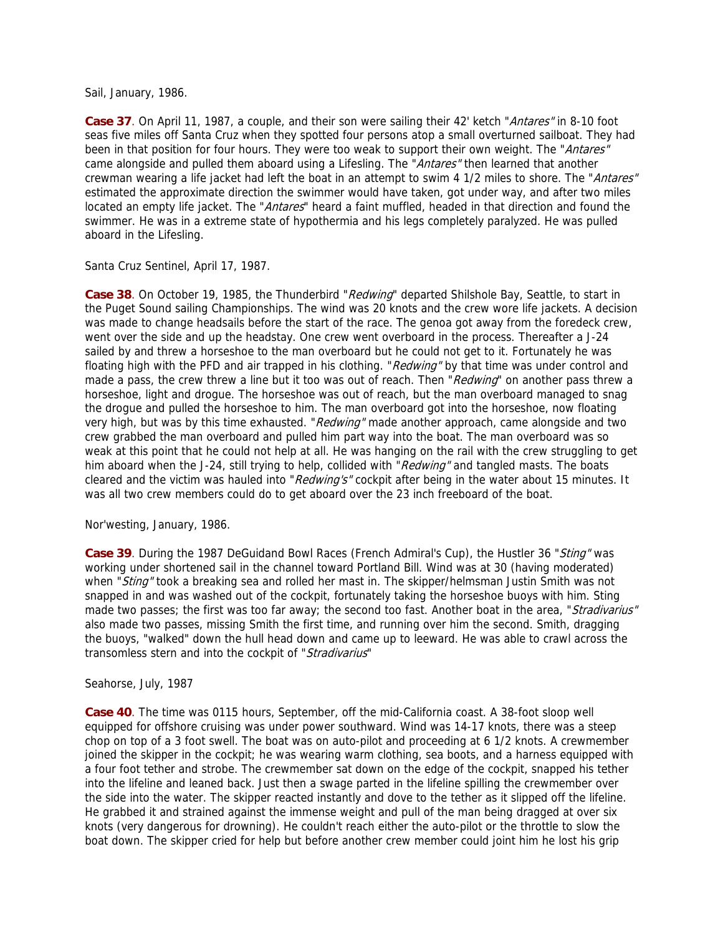Sail, January, 1986.

Case 37. On April 11, 1987, a couple, and their son were sailing their 42' ketch "Antares" in 8-10 foot seas five miles off Santa Cruz when they spotted four persons atop a small overturned sailboat. They had been in that position for four hours. They were too weak to support their own weight. The "Antares" came alongside and pulled them aboard using a Lifesling. The "Antares" then learned that another crewman wearing a life jacket had left the boat in an attempt to swim 4 1/2 miles to shore. The "Antares" estimated the approximate direction the swimmer would have taken, got under way, and after two miles located an empty life jacket. The "Antares" heard a faint muffled, headed in that direction and found the swimmer. He was in a extreme state of hypothermia and his legs completely paralyzed. He was pulled aboard in the Lifesling.

Santa Cruz Sentinel, April 17, 1987.

Case 38. On October 19, 1985, the Thunderbird "*Redwind*" departed Shilshole Bay, Seattle, to start in the Puget Sound sailing Championships. The wind was 20 knots and the crew wore life jackets. A decision was made to change headsails before the start of the race. The genoa got away from the foredeck crew, went over the side and up the headstay. One crew went overboard in the process. Thereafter a J-24 sailed by and threw a horseshoe to the man overboard but he could not get to it. Fortunately he was floating high with the PFD and air trapped in his clothing. "Redwing" by that time was under control and made a pass, the crew threw a line but it too was out of reach. Then "Redwing" on another pass threw a horseshoe, light and drogue. The horseshoe was out of reach, but the man overboard managed to snag the drogue and pulled the horseshoe to him. The man overboard got into the horseshoe, now floating very high, but was by this time exhausted. "Redwing" made another approach, came alongside and two crew grabbed the man overboard and pulled him part way into the boat. The man overboard was so weak at this point that he could not help at all. He was hanging on the rail with the crew struggling to get him aboard when the J-24, still trying to help, collided with "Redwing" and tangled masts. The boats cleared and the victim was hauled into "Redwing's" cockpit after being in the water about 15 minutes. It was all two crew members could do to get aboard over the 23 inch freeboard of the boat.

Nor'westing, January, 1986.

**Case 39**. During the 1987 DeGuidand Bowl Races (French Admiral's Cup), the Hustler 36 "Sting" was working under shortened sail in the channel toward Portland Bill. Wind was at 30 (having moderated) when "Sting" took a breaking sea and rolled her mast in. The skipper/helmsman Justin Smith was not snapped in and was washed out of the cockpit, fortunately taking the horseshoe buoys with him. Sting made two passes; the first was too far away; the second too fast. Another boat in the area, "Stradivarius" also made two passes, missing Smith the first time, and running over him the second. Smith, dragging the buoys, "walked" down the hull head down and came up to leeward. He was able to crawl across the transomless stern and into the cockpit of "Stradivarius"

### Seahorse, July, 1987

**Case 40**. The time was 0115 hours, September, off the mid-California coast. A 38-foot sloop well equipped for offshore cruising was under power southward. Wind was 14-17 knots, there was a steep chop on top of a 3 foot swell. The boat was on auto-pilot and proceeding at 6 1/2 knots. A crewmember joined the skipper in the cockpit; he was wearing warm clothing, sea boots, and a harness equipped with a four foot tether and strobe. The crewmember sat down on the edge of the cockpit, snapped his tether into the lifeline and leaned back. Just then a swage parted in the lifeline spilling the crewmember over the side into the water. The skipper reacted instantly and dove to the tether as it slipped off the lifeline. He grabbed it and strained against the immense weight and pull of the man being dragged at over six knots (very dangerous for drowning). He couldn't reach either the auto-pilot or the throttle to slow the boat down. The skipper cried for help but before another crew member could joint him he lost his grip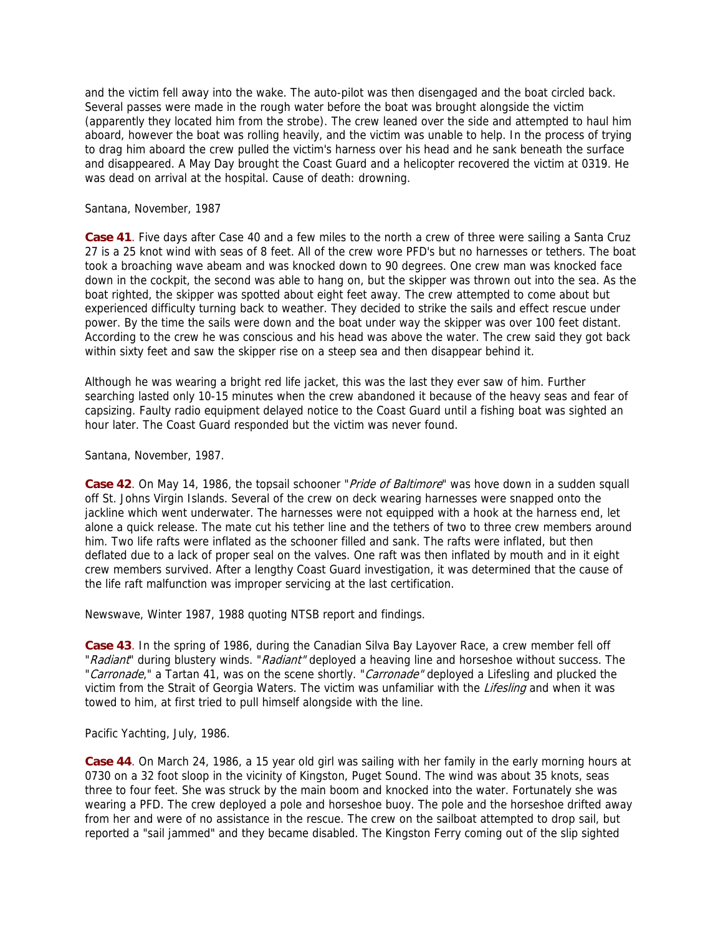and the victim fell away into the wake. The auto-pilot was then disengaged and the boat circled back. Several passes were made in the rough water before the boat was brought alongside the victim (apparently they located him from the strobe). The crew leaned over the side and attempted to haul him aboard, however the boat was rolling heavily, and the victim was unable to help. In the process of trying to drag him aboard the crew pulled the victim's harness over his head and he sank beneath the surface and disappeared. A May Day brought the Coast Guard and a helicopter recovered the victim at 0319. He was dead on arrival at the hospital. Cause of death: drowning.

Santana, November, 1987

**Case 41**. Five days after Case 40 and a few miles to the north a crew of three were sailing a Santa Cruz 27 is a 25 knot wind with seas of 8 feet. All of the crew wore PFD's but no harnesses or tethers. The boat took a broaching wave abeam and was knocked down to 90 degrees. One crew man was knocked face down in the cockpit, the second was able to hang on, but the skipper was thrown out into the sea. As the boat righted, the skipper was spotted about eight feet away. The crew attempted to come about but experienced difficulty turning back to weather. They decided to strike the sails and effect rescue under power. By the time the sails were down and the boat under way the skipper was over 100 feet distant. According to the crew he was conscious and his head was above the water. The crew said they got back within sixty feet and saw the skipper rise on a steep sea and then disappear behind it.

Although he was wearing a bright red life jacket, this was the last they ever saw of him. Further searching lasted only 10-15 minutes when the crew abandoned it because of the heavy seas and fear of capsizing. Faulty radio equipment delayed notice to the Coast Guard until a fishing boat was sighted an hour later. The Coast Guard responded but the victim was never found.

Santana, November, 1987.

**Case 42**. On May 14, 1986, the topsail schooner "*Pride of Baltimore*" was hove down in a sudden squall off St. Johns Virgin Islands. Several of the crew on deck wearing harnesses were snapped onto the jackline which went underwater. The harnesses were not equipped with a hook at the harness end, let alone a quick release. The mate cut his tether line and the tethers of two to three crew members around him. Two life rafts were inflated as the schooner filled and sank. The rafts were inflated, but then deflated due to a lack of proper seal on the valves. One raft was then inflated by mouth and in it eight crew members survived. After a lengthy Coast Guard investigation, it was determined that the cause of the life raft malfunction was improper servicing at the last certification.

Newswave, Winter 1987, 1988 quoting NTSB report and findings.

**Case 43**. In the spring of 1986, during the Canadian Silva Bay Layover Race, a crew member fell off "Radiant" during blustery winds. "Radiant" deployed a heaving line and horseshoe without success. The "Carronade," a Tartan 41, was on the scene shortly. "Carronade" deployed a Lifesling and plucked the victim from the Strait of Georgia Waters. The victim was unfamiliar with the Lifesling and when it was towed to him, at first tried to pull himself alongside with the line.

Pacific Yachting, July, 1986.

**Case 44**. On March 24, 1986, a 15 year old girl was sailing with her family in the early morning hours at 0730 on a 32 foot sloop in the vicinity of Kingston, Puget Sound. The wind was about 35 knots, seas three to four feet. She was struck by the main boom and knocked into the water. Fortunately she was wearing a PFD. The crew deployed a pole and horseshoe buoy. The pole and the horseshoe drifted away from her and were of no assistance in the rescue. The crew on the sailboat attempted to drop sail, but reported a "sail jammed" and they became disabled. The Kingston Ferry coming out of the slip sighted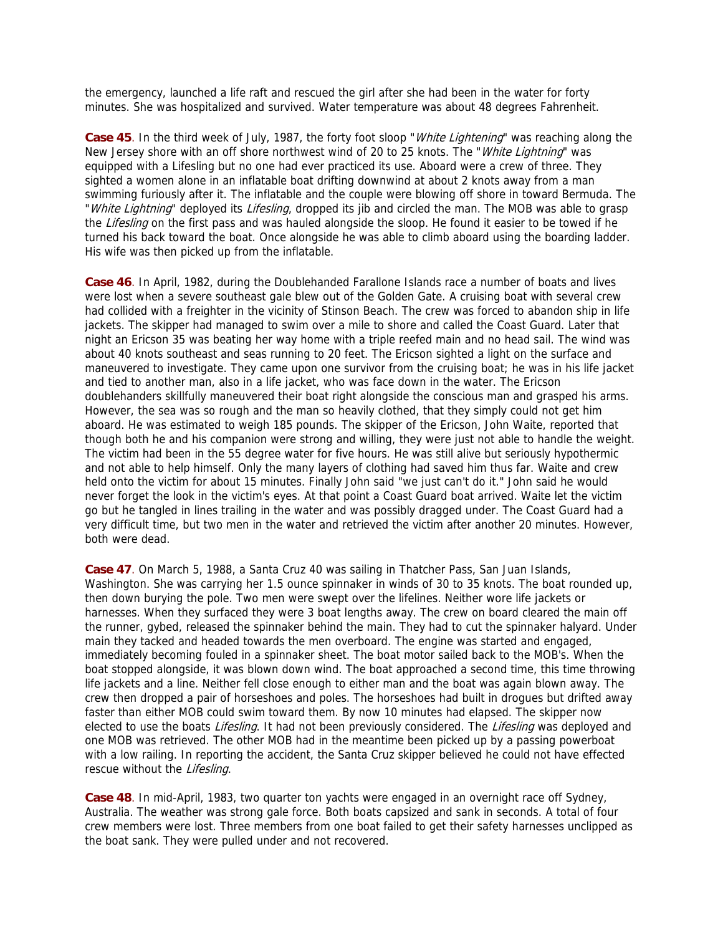the emergency, launched a life raft and rescued the girl after she had been in the water for forty minutes. She was hospitalized and survived. Water temperature was about 48 degrees Fahrenheit.

Case 45. In the third week of July, 1987, the forty foot sloop "White Lightening" was reaching along the New Jersey shore with an off shore northwest wind of 20 to 25 knots. The "White Lightning" was equipped with a Lifesling but no one had ever practiced its use. Aboard were a crew of three. They sighted a women alone in an inflatable boat drifting downwind at about 2 knots away from a man swimming furiously after it. The inflatable and the couple were blowing off shore in toward Bermuda. The "White Lightning" deployed its Lifesling, dropped its jib and circled the man. The MOB was able to grasp the Lifesling on the first pass and was hauled alongside the sloop. He found it easier to be towed if he turned his back toward the boat. Once alongside he was able to climb aboard using the boarding ladder. His wife was then picked up from the inflatable.

**Case 46**. In April, 1982, during the Doublehanded Farallone Islands race a number of boats and lives were lost when a severe southeast gale blew out of the Golden Gate. A cruising boat with several crew had collided with a freighter in the vicinity of Stinson Beach. The crew was forced to abandon ship in life jackets. The skipper had managed to swim over a mile to shore and called the Coast Guard. Later that night an Ericson 35 was beating her way home with a triple reefed main and no head sail. The wind was about 40 knots southeast and seas running to 20 feet. The Ericson sighted a light on the surface and maneuvered to investigate. They came upon one survivor from the cruising boat; he was in his life jacket and tied to another man, also in a life jacket, who was face down in the water. The Ericson doublehanders skillfully maneuvered their boat right alongside the conscious man and grasped his arms. However, the sea was so rough and the man so heavily clothed, that they simply could not get him aboard. He was estimated to weigh 185 pounds. The skipper of the Ericson, John Waite, reported that though both he and his companion were strong and willing, they were just not able to handle the weight. The victim had been in the 55 degree water for five hours. He was still alive but seriously hypothermic and not able to help himself. Only the many layers of clothing had saved him thus far. Waite and crew held onto the victim for about 15 minutes. Finally John said "we just can't do it." John said he would never forget the look in the victim's eyes. At that point a Coast Guard boat arrived. Waite let the victim go but he tangled in lines trailing in the water and was possibly dragged under. The Coast Guard had a very difficult time, but two men in the water and retrieved the victim after another 20 minutes. However, both were dead.

**Case 47**. On March 5, 1988, a Santa Cruz 40 was sailing in Thatcher Pass, San Juan Islands, Washington. She was carrying her 1.5 ounce spinnaker in winds of 30 to 35 knots. The boat rounded up, then down burying the pole. Two men were swept over the lifelines. Neither wore life jackets or harnesses. When they surfaced they were 3 boat lengths away. The crew on board cleared the main off the runner, gybed, released the spinnaker behind the main. They had to cut the spinnaker halyard. Under main they tacked and headed towards the men overboard. The engine was started and engaged, immediately becoming fouled in a spinnaker sheet. The boat motor sailed back to the MOB's. When the boat stopped alongside, it was blown down wind. The boat approached a second time, this time throwing life jackets and a line. Neither fell close enough to either man and the boat was again blown away. The crew then dropped a pair of horseshoes and poles. The horseshoes had built in drogues but drifted away faster than either MOB could swim toward them. By now 10 minutes had elapsed. The skipper now elected to use the boats *Lifesling*. It had not been previously considered. The *Lifesling* was deployed and one MOB was retrieved. The other MOB had in the meantime been picked up by a passing powerboat with a low railing. In reporting the accident, the Santa Cruz skipper believed he could not have effected rescue without the Lifesling.

**Case 48**. In mid-April, 1983, two quarter ton yachts were engaged in an overnight race off Sydney, Australia. The weather was strong gale force. Both boats capsized and sank in seconds. A total of four crew members were lost. Three members from one boat failed to get their safety harnesses unclipped as the boat sank. They were pulled under and not recovered.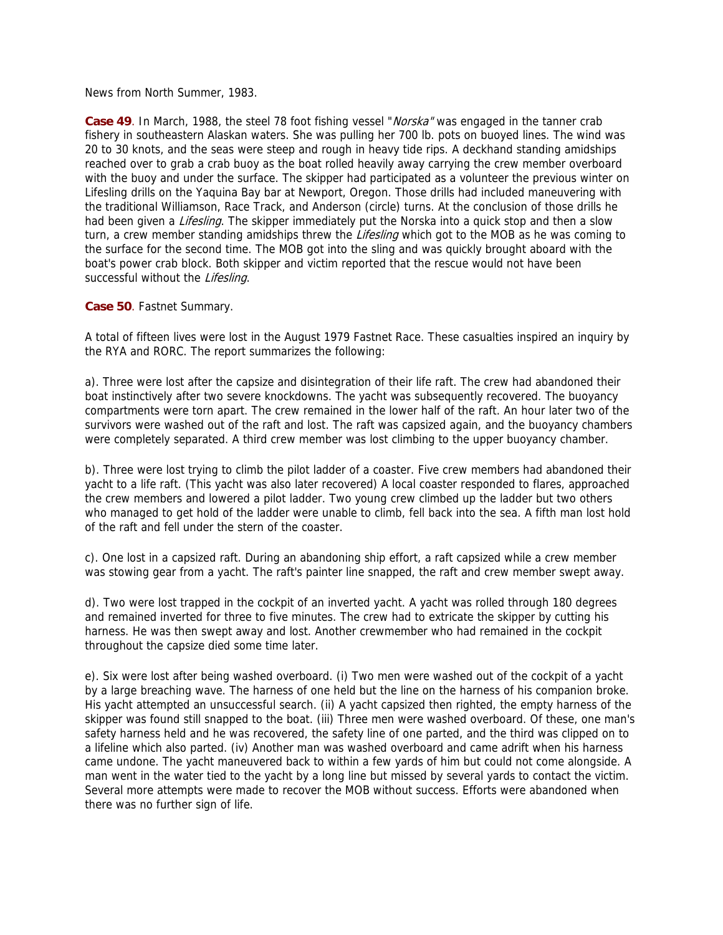News from North Summer, 1983.

**Case 49**. In March, 1988, the steel 78 foot fishing vessel "*Norska*" was engaged in the tanner crab fishery in southeastern Alaskan waters. She was pulling her 700 lb. pots on buoyed lines. The wind was 20 to 30 knots, and the seas were steep and rough in heavy tide rips. A deckhand standing amidships reached over to grab a crab buoy as the boat rolled heavily away carrying the crew member overboard with the buoy and under the surface. The skipper had participated as a volunteer the previous winter on Lifesling drills on the Yaquina Bay bar at Newport, Oregon. Those drills had included maneuvering with the traditional Williamson, Race Track, and Anderson (circle) turns. At the conclusion of those drills he had been given a *Lifesling*. The skipper immediately put the Norska into a quick stop and then a slow turn, a crew member standing amidships threw the *Lifesling* which got to the MOB as he was coming to the surface for the second time. The MOB got into the sling and was quickly brought aboard with the boat's power crab block. Both skipper and victim reported that the rescue would not have been successful without the Lifesling.

**Case 50**. Fastnet Summary.

A total of fifteen lives were lost in the August 1979 Fastnet Race. These casualties inspired an inquiry by the RYA and RORC. The report summarizes the following:

a). Three were lost after the capsize and disintegration of their life raft. The crew had abandoned their boat instinctively after two severe knockdowns. The yacht was subsequently recovered. The buoyancy compartments were torn apart. The crew remained in the lower half of the raft. An hour later two of the survivors were washed out of the raft and lost. The raft was capsized again, and the buoyancy chambers were completely separated. A third crew member was lost climbing to the upper buoyancy chamber.

b). Three were lost trying to climb the pilot ladder of a coaster. Five crew members had abandoned their yacht to a life raft. (This yacht was also later recovered) A local coaster responded to flares, approached the crew members and lowered a pilot ladder. Two young crew climbed up the ladder but two others who managed to get hold of the ladder were unable to climb, fell back into the sea. A fifth man lost hold of the raft and fell under the stern of the coaster.

c). One lost in a capsized raft. During an abandoning ship effort, a raft capsized while a crew member was stowing gear from a yacht. The raft's painter line snapped, the raft and crew member swept away.

d). Two were lost trapped in the cockpit of an inverted yacht. A yacht was rolled through 180 degrees and remained inverted for three to five minutes. The crew had to extricate the skipper by cutting his harness. He was then swept away and lost. Another crewmember who had remained in the cockpit throughout the capsize died some time later.

e). Six were lost after being washed overboard. (i) Two men were washed out of the cockpit of a yacht by a large breaching wave. The harness of one held but the line on the harness of his companion broke. His yacht attempted an unsuccessful search. (ii) A yacht capsized then righted, the empty harness of the skipper was found still snapped to the boat. (iii) Three men were washed overboard. Of these, one man's safety harness held and he was recovered, the safety line of one parted, and the third was clipped on to a lifeline which also parted. (iv) Another man was washed overboard and came adrift when his harness came undone. The yacht maneuvered back to within a few yards of him but could not come alongside. A man went in the water tied to the yacht by a long line but missed by several yards to contact the victim. Several more attempts were made to recover the MOB without success. Efforts were abandoned when there was no further sign of life.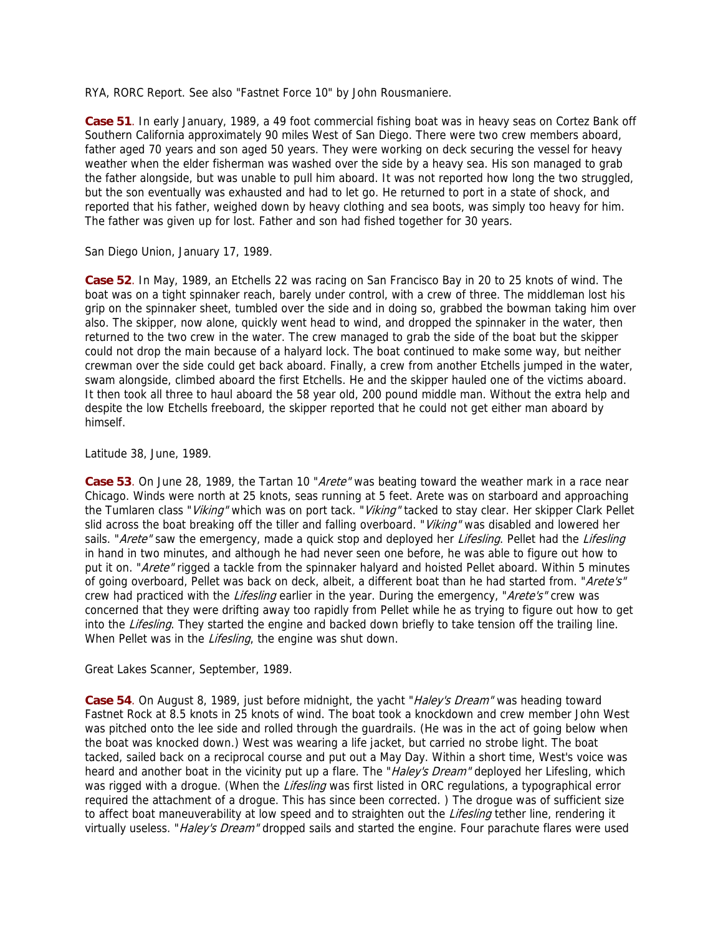RYA, RORC Report. See also "Fastnet Force 10" by John Rousmaniere.

**Case 51**. In early January, 1989, a 49 foot commercial fishing boat was in heavy seas on Cortez Bank off Southern California approximately 90 miles West of San Diego. There were two crew members aboard, father aged 70 years and son aged 50 years. They were working on deck securing the vessel for heavy weather when the elder fisherman was washed over the side by a heavy sea. His son managed to grab the father alongside, but was unable to pull him aboard. It was not reported how long the two struggled, but the son eventually was exhausted and had to let go. He returned to port in a state of shock, and reported that his father, weighed down by heavy clothing and sea boots, was simply too heavy for him. The father was given up for lost. Father and son had fished together for 30 years.

San Diego Union, January 17, 1989.

**Case 52**. In May, 1989, an Etchells 22 was racing on San Francisco Bay in 20 to 25 knots of wind. The boat was on a tight spinnaker reach, barely under control, with a crew of three. The middleman lost his grip on the spinnaker sheet, tumbled over the side and in doing so, grabbed the bowman taking him over also. The skipper, now alone, quickly went head to wind, and dropped the spinnaker in the water, then returned to the two crew in the water. The crew managed to grab the side of the boat but the skipper could not drop the main because of a halyard lock. The boat continued to make some way, but neither crewman over the side could get back aboard. Finally, a crew from another Etchells jumped in the water, swam alongside, climbed aboard the first Etchells. He and the skipper hauled one of the victims aboard. It then took all three to haul aboard the 58 year old, 200 pound middle man. Without the extra help and despite the low Etchells freeboard, the skipper reported that he could not get either man aboard by himself.

Latitude 38, June, 1989.

**Case 53**. On June 28, 1989, the Tartan 10 "Arete" was beating toward the weather mark in a race near Chicago. Winds were north at 25 knots, seas running at 5 feet. Arete was on starboard and approaching the Tumlaren class "Viking" which was on port tack. "Viking" tacked to stay clear. Her skipper Clark Pellet slid across the boat breaking off the tiller and falling overboard. "Viking" was disabled and lowered her sails. "Arete" saw the emergency, made a quick stop and deployed her Lifesling. Pellet had the Lifesling in hand in two minutes, and although he had never seen one before, he was able to figure out how to put it on. "Arete" rigged a tackle from the spinnaker halyard and hoisted Pellet aboard. Within 5 minutes of going overboard, Pellet was back on deck, albeit, a different boat than he had started from. "Arete's" crew had practiced with the Lifesling earlier in the year. During the emergency, "Arete's" crew was concerned that they were drifting away too rapidly from Pellet while he as trying to figure out how to get into the Lifesling. They started the engine and backed down briefly to take tension off the trailing line. When Pellet was in the Lifesling, the engine was shut down.

Great Lakes Scanner, September, 1989.

**Case 54**. On August 8, 1989, just before midnight, the yacht "Haley's Dream" was heading toward Fastnet Rock at 8.5 knots in 25 knots of wind. The boat took a knockdown and crew member John West was pitched onto the lee side and rolled through the guardrails. (He was in the act of going below when the boat was knocked down.) West was wearing a life jacket, but carried no strobe light. The boat tacked, sailed back on a reciprocal course and put out a May Day. Within a short time, West's voice was heard and another boat in the vicinity put up a flare. The "Haley's Dream" deployed her Lifesling, which was rigged with a drogue. (When the Lifesling was first listed in ORC regulations, a typographical error required the attachment of a drogue. This has since been corrected. ) The drogue was of sufficient size to affect boat maneuverability at low speed and to straighten out the *Lifesling* tether line, rendering it virtually useless. "Haley's Dream" dropped sails and started the engine. Four parachute flares were used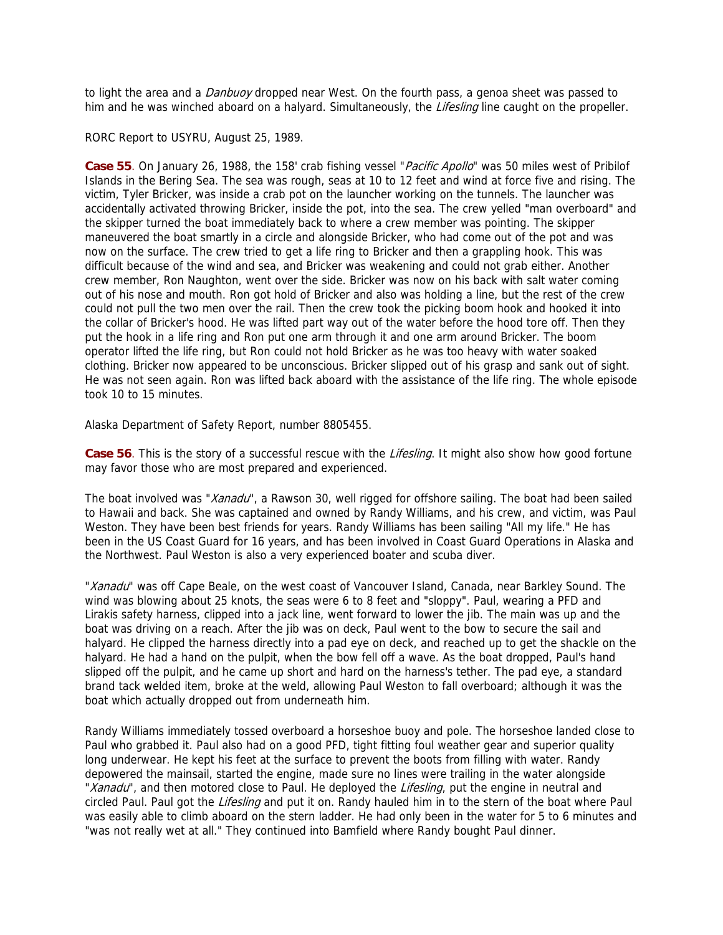to light the area and a *Danbuoy* dropped near West. On the fourth pass, a genoa sheet was passed to him and he was winched aboard on a halyard. Simultaneously, the *Lifesling* line caught on the propeller.

#### RORC Report to USYRU, August 25, 1989.

**Case 55**. On January 26, 1988, the 158' crab fishing vessel "Pacific Apollo" was 50 miles west of Pribilof Islands in the Bering Sea. The sea was rough, seas at 10 to 12 feet and wind at force five and rising. The victim, Tyler Bricker, was inside a crab pot on the launcher working on the tunnels. The launcher was accidentally activated throwing Bricker, inside the pot, into the sea. The crew yelled "man overboard" and the skipper turned the boat immediately back to where a crew member was pointing. The skipper maneuvered the boat smartly in a circle and alongside Bricker, who had come out of the pot and was now on the surface. The crew tried to get a life ring to Bricker and then a grappling hook. This was difficult because of the wind and sea, and Bricker was weakening and could not grab either. Another crew member, Ron Naughton, went over the side. Bricker was now on his back with salt water coming out of his nose and mouth. Ron got hold of Bricker and also was holding a line, but the rest of the crew could not pull the two men over the rail. Then the crew took the picking boom hook and hooked it into the collar of Bricker's hood. He was lifted part way out of the water before the hood tore off. Then they put the hook in a life ring and Ron put one arm through it and one arm around Bricker. The boom operator lifted the life ring, but Ron could not hold Bricker as he was too heavy with water soaked clothing. Bricker now appeared to be unconscious. Bricker slipped out of his grasp and sank out of sight. He was not seen again. Ron was lifted back aboard with the assistance of the life ring. The whole episode took 10 to 15 minutes.

Alaska Department of Safety Report, number 8805455.

Case 56. This is the story of a successful rescue with the Lifesling. It might also show how good fortune may favor those who are most prepared and experienced.

The boat involved was "Xanadu", a Rawson 30, well rigged for offshore sailing. The boat had been sailed to Hawaii and back. She was captained and owned by Randy Williams, and his crew, and victim, was Paul Weston. They have been best friends for years. Randy Williams has been sailing "All my life." He has been in the US Coast Guard for 16 years, and has been involved in Coast Guard Operations in Alaska and the Northwest. Paul Weston is also a very experienced boater and scuba diver.

"Xanadu" was off Cape Beale, on the west coast of Vancouver Island, Canada, near Barkley Sound. The wind was blowing about 25 knots, the seas were 6 to 8 feet and "sloppy". Paul, wearing a PFD and Lirakis safety harness, clipped into a jack line, went forward to lower the jib. The main was up and the boat was driving on a reach. After the jib was on deck, Paul went to the bow to secure the sail and halyard. He clipped the harness directly into a pad eye on deck, and reached up to get the shackle on the halyard. He had a hand on the pulpit, when the bow fell off a wave. As the boat dropped, Paul's hand slipped off the pulpit, and he came up short and hard on the harness's tether. The pad eye, a standard brand tack welded item, broke at the weld, allowing Paul Weston to fall overboard; although it was the boat which actually dropped out from underneath him.

Randy Williams immediately tossed overboard a horseshoe buoy and pole. The horseshoe landed close to Paul who grabbed it. Paul also had on a good PFD, tight fitting foul weather gear and superior quality long underwear. He kept his feet at the surface to prevent the boots from filling with water. Randy depowered the mainsail, started the engine, made sure no lines were trailing in the water alongside "Xanadu", and then motored close to Paul. He deployed the Lifesling, put the engine in neutral and circled Paul. Paul got the Lifesling and put it on. Randy hauled him in to the stern of the boat where Paul was easily able to climb aboard on the stern ladder. He had only been in the water for 5 to 6 minutes and "was not really wet at all." They continued into Bamfield where Randy bought Paul dinner.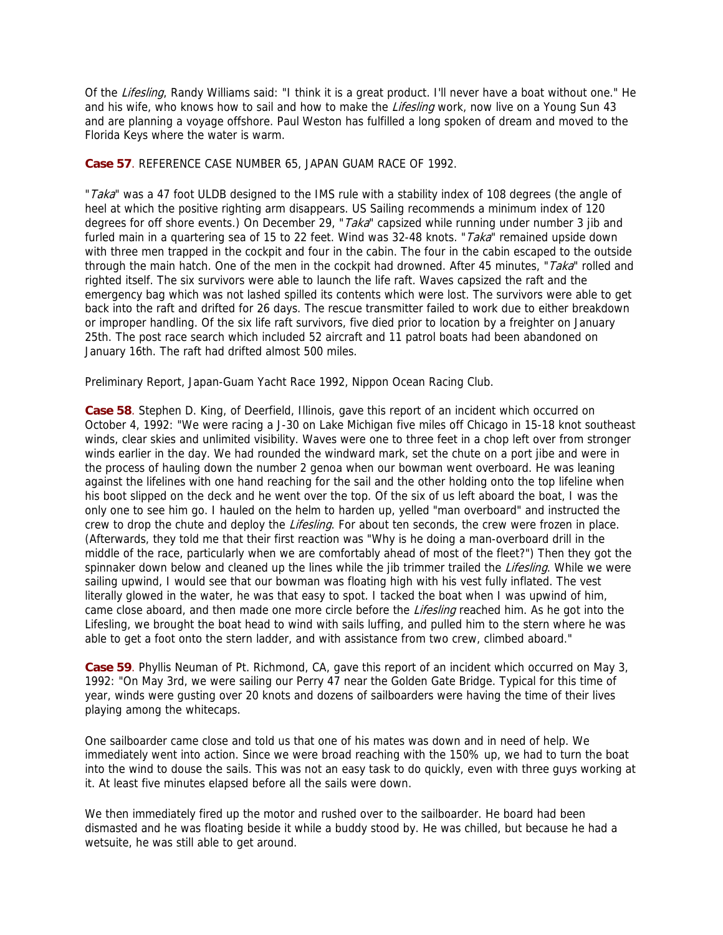Of the Lifesling, Randy Williams said: "I think it is a great product. I'll never have a boat without one." He and his wife, who knows how to sail and how to make the *Lifesling* work, now live on a Young Sun 43 and are planning a voyage offshore. Paul Weston has fulfilled a long spoken of dream and moved to the Florida Keys where the water is warm.

**Case 57**. REFERENCE CASE NUMBER 65, JAPAN GUAM RACE OF 1992.

"Taka" was a 47 foot ULDB designed to the IMS rule with a stability index of 108 degrees (the angle of heel at which the positive righting arm disappears. US Sailing recommends a minimum index of 120 degrees for off shore events.) On December 29, "Taka" capsized while running under number 3 jib and furled main in a quartering sea of 15 to 22 feet. Wind was 32-48 knots. "Taka" remained upside down with three men trapped in the cockpit and four in the cabin. The four in the cabin escaped to the outside through the main hatch. One of the men in the cockpit had drowned. After 45 minutes, "Taka" rolled and righted itself. The six survivors were able to launch the life raft. Waves capsized the raft and the emergency bag which was not lashed spilled its contents which were lost. The survivors were able to get back into the raft and drifted for 26 days. The rescue transmitter failed to work due to either breakdown or improper handling. Of the six life raft survivors, five died prior to location by a freighter on January 25th. The post race search which included 52 aircraft and 11 patrol boats had been abandoned on January 16th. The raft had drifted almost 500 miles.

Preliminary Report, Japan-Guam Yacht Race 1992, Nippon Ocean Racing Club.

**Case 58**. Stephen D. King, of Deerfield, Illinois, gave this report of an incident which occurred on October 4, 1992: "We were racing a J-30 on Lake Michigan five miles off Chicago in 15-18 knot southeast winds, clear skies and unlimited visibility. Waves were one to three feet in a chop left over from stronger winds earlier in the day. We had rounded the windward mark, set the chute on a port jibe and were in the process of hauling down the number 2 genoa when our bowman went overboard. He was leaning against the lifelines with one hand reaching for the sail and the other holding onto the top lifeline when his boot slipped on the deck and he went over the top. Of the six of us left aboard the boat, I was the only one to see him go. I hauled on the helm to harden up, yelled "man overboard" and instructed the crew to drop the chute and deploy the Lifesling. For about ten seconds, the crew were frozen in place. (Afterwards, they told me that their first reaction was "Why is he doing a man-overboard drill in the middle of the race, particularly when we are comfortably ahead of most of the fleet?") Then they got the spinnaker down below and cleaned up the lines while the jib trimmer trailed the Lifesling. While we were sailing upwind, I would see that our bowman was floating high with his vest fully inflated. The vest literally glowed in the water, he was that easy to spot. I tacked the boat when I was upwind of him, came close aboard, and then made one more circle before the Lifesling reached him. As he got into the Lifesling, we brought the boat head to wind with sails luffing, and pulled him to the stern where he was able to get a foot onto the stern ladder, and with assistance from two crew, climbed aboard."

**Case 59**. Phyllis Neuman of Pt. Richmond, CA, gave this report of an incident which occurred on May 3, 1992: "On May 3rd, we were sailing our Perry 47 near the Golden Gate Bridge. Typical for this time of year, winds were gusting over 20 knots and dozens of sailboarders were having the time of their lives playing among the whitecaps.

One sailboarder came close and told us that one of his mates was down and in need of help. We immediately went into action. Since we were broad reaching with the 150% up, we had to turn the boat into the wind to douse the sails. This was not an easy task to do quickly, even with three guys working at it. At least five minutes elapsed before all the sails were down.

We then immediately fired up the motor and rushed over to the sailboarder. He board had been dismasted and he was floating beside it while a buddy stood by. He was chilled, but because he had a wetsuite, he was still able to get around.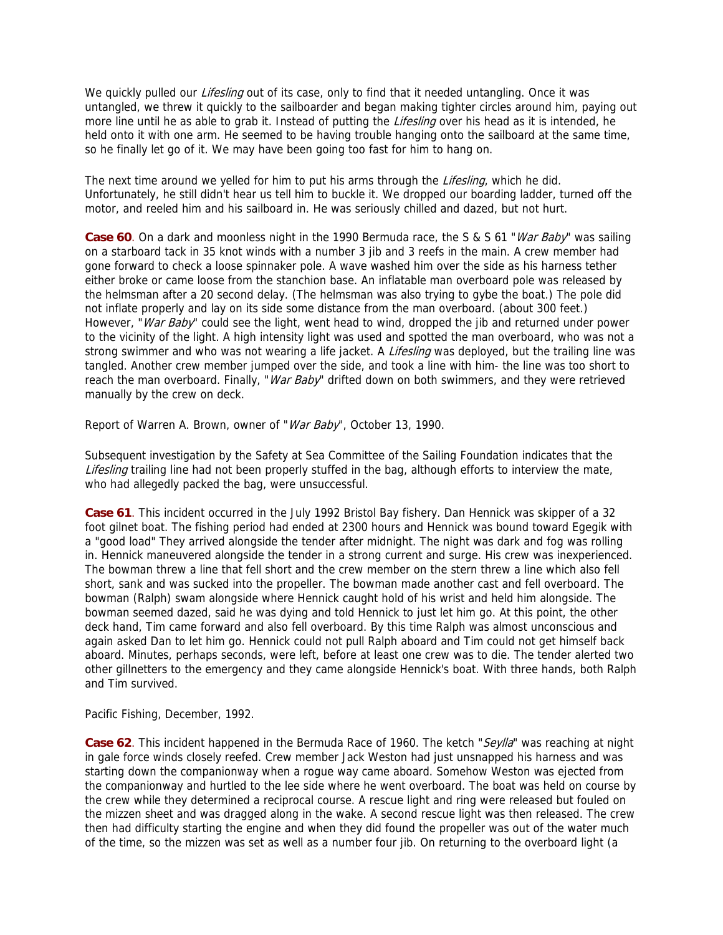We quickly pulled our *Lifesling* out of its case, only to find that it needed untangling. Once it was untangled, we threw it quickly to the sailboarder and began making tighter circles around him, paying out more line until he as able to grab it. Instead of putting the *Lifesling* over his head as it is intended, he held onto it with one arm. He seemed to be having trouble hanging onto the sailboard at the same time, so he finally let go of it. We may have been going too fast for him to hang on.

The next time around we yelled for him to put his arms through the Lifesling, which he did. Unfortunately, he still didn't hear us tell him to buckle it. We dropped our boarding ladder, turned off the motor, and reeled him and his sailboard in. He was seriously chilled and dazed, but not hurt.

**Case 60**. On a dark and moonless night in the 1990 Bermuda race, the S & S 61 "*War Baby*" was sailing on a starboard tack in 35 knot winds with a number 3 jib and 3 reefs in the main. A crew member had gone forward to check a loose spinnaker pole. A wave washed him over the side as his harness tether either broke or came loose from the stanchion base. An inflatable man overboard pole was released by the helmsman after a 20 second delay. (The helmsman was also trying to gybe the boat.) The pole did not inflate properly and lay on its side some distance from the man overboard. (about 300 feet.) However, "War Baby" could see the light, went head to wind, dropped the jib and returned under power to the vicinity of the light. A high intensity light was used and spotted the man overboard, who was not a strong swimmer and who was not wearing a life jacket. A *Lifesling* was deployed, but the trailing line was tangled. Another crew member jumped over the side, and took a line with him- the line was too short to reach the man overboard. Finally, "*War Baby*" drifted down on both swimmers, and they were retrieved manually by the crew on deck.

Report of Warren A. Brown, owner of "War Baby", October 13, 1990.

Subsequent investigation by the Safety at Sea Committee of the Sailing Foundation indicates that the Lifesling trailing line had not been properly stuffed in the bag, although efforts to interview the mate, who had allegedly packed the bag, were unsuccessful.

**Case 61**. This incident occurred in the July 1992 Bristol Bay fishery. Dan Hennick was skipper of a 32 foot gilnet boat. The fishing period had ended at 2300 hours and Hennick was bound toward Egegik with a "good load" They arrived alongside the tender after midnight. The night was dark and fog was rolling in. Hennick maneuvered alongside the tender in a strong current and surge. His crew was inexperienced. The bowman threw a line that fell short and the crew member on the stern threw a line which also fell short, sank and was sucked into the propeller. The bowman made another cast and fell overboard. The bowman (Ralph) swam alongside where Hennick caught hold of his wrist and held him alongside. The bowman seemed dazed, said he was dying and told Hennick to just let him go. At this point, the other deck hand, Tim came forward and also fell overboard. By this time Ralph was almost unconscious and again asked Dan to let him go. Hennick could not pull Ralph aboard and Tim could not get himself back aboard. Minutes, perhaps seconds, were left, before at least one crew was to die. The tender alerted two other gillnetters to the emergency and they came alongside Hennick's boat. With three hands, both Ralph and Tim survived.

Pacific Fishing, December, 1992.

Case 62. This incident happened in the Bermuda Race of 1960. The ketch "Seylla" was reaching at night in gale force winds closely reefed. Crew member Jack Weston had just unsnapped his harness and was starting down the companionway when a rogue way came aboard. Somehow Weston was ejected from the companionway and hurtled to the lee side where he went overboard. The boat was held on course by the crew while they determined a reciprocal course. A rescue light and ring were released but fouled on the mizzen sheet and was dragged along in the wake. A second rescue light was then released. The crew then had difficulty starting the engine and when they did found the propeller was out of the water much of the time, so the mizzen was set as well as a number four jib. On returning to the overboard light (a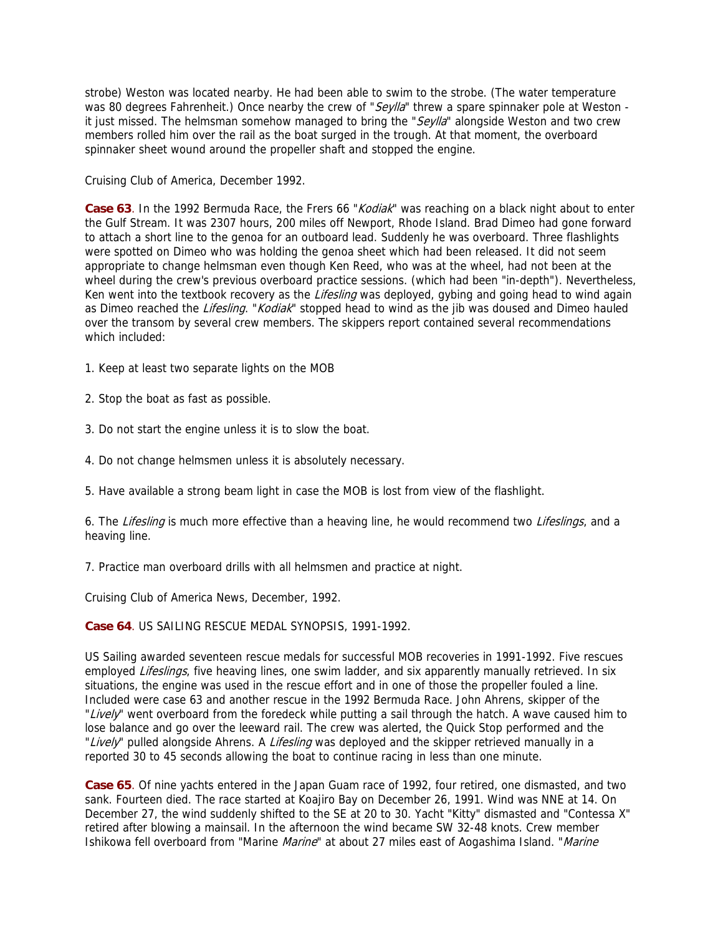strobe) Weston was located nearby. He had been able to swim to the strobe. (The water temperature was 80 degrees Fahrenheit.) Once nearby the crew of "Seylla" threw a spare spinnaker pole at Weston it just missed. The helmsman somehow managed to bring the " $Seylla$ " alongside Weston and two crew members rolled him over the rail as the boat surged in the trough. At that moment, the overboard spinnaker sheet wound around the propeller shaft and stopped the engine.

Cruising Club of America, December 1992.

**Case 63**. In the 1992 Bermuda Race, the Frers 66 "Kodiak" was reaching on a black night about to enter the Gulf Stream. It was 2307 hours, 200 miles off Newport, Rhode Island. Brad Dimeo had gone forward to attach a short line to the genoa for an outboard lead. Suddenly he was overboard. Three flashlights were spotted on Dimeo who was holding the genoa sheet which had been released. It did not seem appropriate to change helmsman even though Ken Reed, who was at the wheel, had not been at the wheel during the crew's previous overboard practice sessions. (which had been "in-depth"). Nevertheless, Ken went into the textbook recovery as the *Lifesling* was deployed, gybing and going head to wind again as Dimeo reached the *Lifesling.* "Kodiak" stopped head to wind as the jib was doused and Dimeo hauled over the transom by several crew members. The skippers report contained several recommendations which included:

1. Keep at least two separate lights on the MOB

2. Stop the boat as fast as possible.

3. Do not start the engine unless it is to slow the boat.

4. Do not change helmsmen unless it is absolutely necessary.

5. Have available a strong beam light in case the MOB is lost from view of the flashlight.

6. The Lifesling is much more effective than a heaving line, he would recommend two Lifeslings, and a heaving line.

7. Practice man overboard drills with all helmsmen and practice at night.

Cruising Club of America News, December, 1992.

**Case 64**. US SAILING RESCUE MEDAL SYNOPSIS, 1991-1992.

US Sailing awarded seventeen rescue medals for successful MOB recoveries in 1991-1992. Five rescues employed Lifeslings, five heaving lines, one swim ladder, and six apparently manually retrieved. In six situations, the engine was used in the rescue effort and in one of those the propeller fouled a line. Included were case 63 and another rescue in the 1992 Bermuda Race. John Ahrens, skipper of the "Lively" went overboard from the foredeck while putting a sail through the hatch. A wave caused him to lose balance and go over the leeward rail. The crew was alerted, the Quick Stop performed and the "Lively" pulled alongside Ahrens. A Lifesling was deployed and the skipper retrieved manually in a reported 30 to 45 seconds allowing the boat to continue racing in less than one minute.

**Case 65**. Of nine yachts entered in the Japan Guam race of 1992, four retired, one dismasted, and two sank. Fourteen died. The race started at Koajiro Bay on December 26, 1991. Wind was NNE at 14. On December 27, the wind suddenly shifted to the SE at 20 to 30. Yacht "Kitty" dismasted and "Contessa X" retired after blowing a mainsail. In the afternoon the wind became SW 32-48 knots. Crew member Ishikowa fell overboard from "Marine Marine" at about 27 miles east of Aogashima Island. "Marine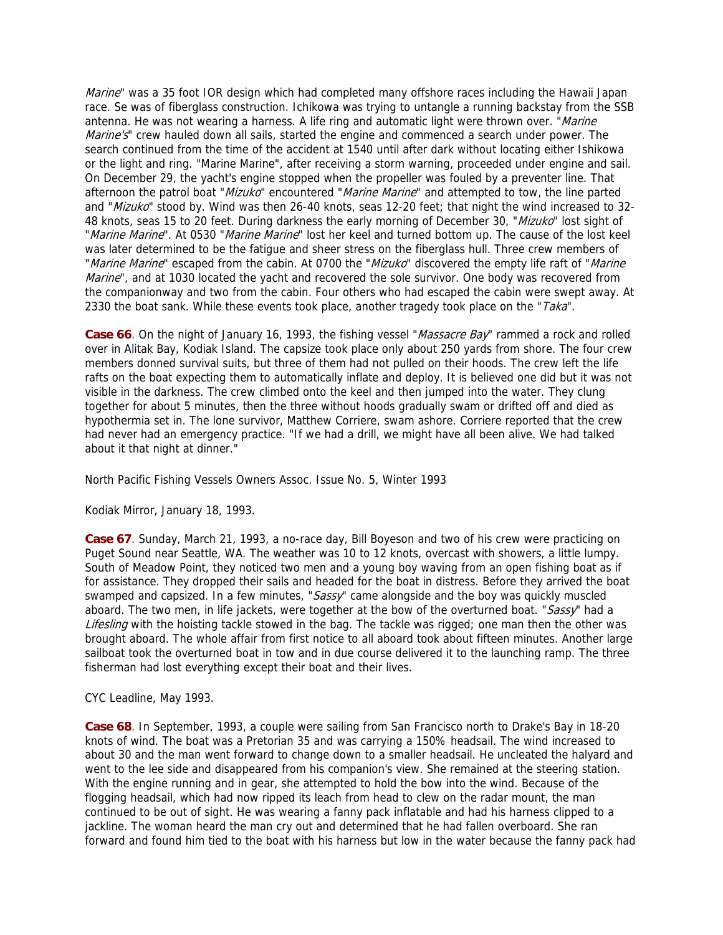Marine" was a 35 foot IOR design which had completed many offshore races including the Hawaii Japan race. Se was of fiberglass construction. Ichikowa was trying to untangle a running backstay from the SSB antenna. He was not wearing a harness. A life ring and automatic light were thrown over. "Marine Marine's" crew hauled down all sails, started the engine and commenced a search under power. The search continued from the time of the accident at 1540 until after dark without locating either Ishikowa or the light and ring. "Marine Marine", after receiving a storm warning, proceeded under engine and sail. On December 29, the yacht's engine stopped when the propeller was fouled by a preventer line. That afternoon the patrol boat "Mizuko" encountered "Marine Marine" and attempted to tow, the line parted and "Mizuko" stood by. Wind was then 26-40 knots, seas 12-20 feet; that night the wind increased to 32-48 knots, seas 15 to 20 feet. During darkness the early morning of December 30, "Mizuko" lost sight of "Marine Marine". At 0530 "Marine Marine" lost her keel and turned bottom up. The cause of the lost keel was later determined to be the fatigue and sheer stress on the fiberglass hull. Three crew members of "Marine Marine" escaped from the cabin. At 0700 the "Mizuko" discovered the empty life raft of "Marine Marine", and at 1030 located the yacht and recovered the sole survivor. One body was recovered from the companionway and two from the cabin. Four others who had escaped the cabin were swept away. At 2330 the boat sank. While these events took place, another tragedy took place on the " $Taka$ ".

**Case 66**. On the night of January 16, 1993, the fishing vessel "*Massacre Bay*" rammed a rock and rolled over in Alitak Bay, Kodiak Island. The capsize took place only about 250 yards from shore. The four crew members donned survival suits, but three of them had not pulled on their hoods. The crew left the life rafts on the boat expecting them to automatically inflate and deploy. It is believed one did but it was not visible in the darkness. The crew climbed onto the keel and then jumped into the water. They clung together for about 5 minutes, then the three without hoods gradually swam or drifted off and died as hypothermia set in. The lone survivor, Matthew Corriere, swam ashore. Corriere reported that the crew had never had an emergency practice. "If we had a drill, we might have all been alive. We had talked about it that night at dinner."

North Pacific Fishing Vessels Owners Assoc. Issue No. 5, Winter 1993

Kodiak Mirror, January 18, 1993.

**Case 67**. Sunday, March 21, 1993, a no-race day, Bill Boyeson and two of his crew were practicing on Puget Sound near Seattle, WA. The weather was 10 to 12 knots, overcast with showers, a little lumpy. South of Meadow Point, they noticed two men and a young boy waving from an open fishing boat as if for assistance. They dropped their sails and headed for the boat in distress. Before they arrived the boat swamped and capsized. In a few minutes, "Sassy" came alongside and the boy was quickly muscled aboard. The two men, in life jackets, were together at the bow of the overturned boat. "Sassy" had a Lifesling with the hoisting tackle stowed in the bag. The tackle was rigged; one man then the other was brought aboard. The whole affair from first notice to all aboard took about fifteen minutes. Another large sailboat took the overturned boat in tow and in due course delivered it to the launching ramp. The three fisherman had lost everything except their boat and their lives.

CYC Leadline, May 1993.

**Case 68**. In September, 1993, a couple were sailing from San Francisco north to Drake's Bay in 18-20 knots of wind. The boat was a Pretorian 35 and was carrying a 150% headsail. The wind increased to about 30 and the man went forward to change down to a smaller headsail. He uncleated the halyard and went to the lee side and disappeared from his companion's view. She remained at the steering station. With the engine running and in gear, she attempted to hold the bow into the wind. Because of the flogging headsail, which had now ripped its leach from head to clew on the radar mount, the man continued to be out of sight. He was wearing a fanny pack inflatable and had his harness clipped to a jackline. The woman heard the man cry out and determined that he had fallen overboard. She ran forward and found him tied to the boat with his harness but low in the water because the fanny pack had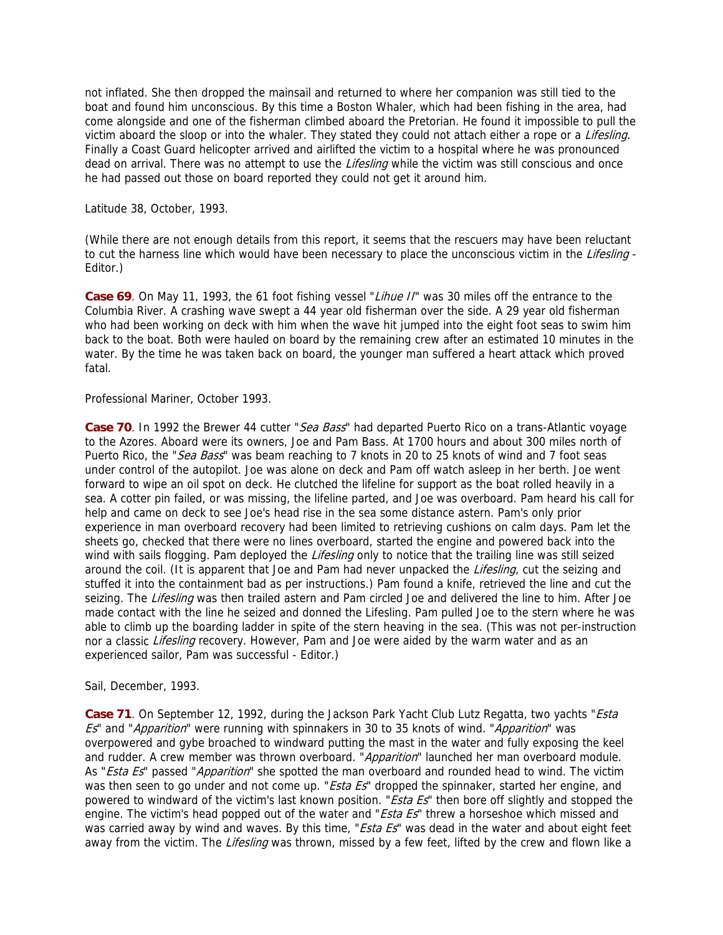not inflated. She then dropped the mainsail and returned to where her companion was still tied to the boat and found him unconscious. By this time a Boston Whaler, which had been fishing in the area, had come alongside and one of the fisherman climbed aboard the Pretorian. He found it impossible to pull the victim aboard the sloop or into the whaler. They stated they could not attach either a rope or a Lifesling. Finally a Coast Guard helicopter arrived and airlifted the victim to a hospital where he was pronounced dead on arrival. There was no attempt to use the Lifesling while the victim was still conscious and once he had passed out those on board reported they could not get it around him.

Latitude 38, October, 1993.

(While there are not enough details from this report, it seems that the rescuers may have been reluctant to cut the harness line which would have been necessary to place the unconscious victim in the Lifesling -Editor.)

Case 69. On May 11, 1993, the 61 foot fishing vessel "Lihue II" was 30 miles off the entrance to the Columbia River. A crashing wave swept a 44 year old fisherman over the side. A 29 year old fisherman who had been working on deck with him when the wave hit jumped into the eight foot seas to swim him back to the boat. Both were hauled on board by the remaining crew after an estimated 10 minutes in the water. By the time he was taken back on board, the younger man suffered a heart attack which proved fatal.

# Professional Mariner, October 1993.

Case 70. In 1992 the Brewer 44 cutter "Sea Bass" had departed Puerto Rico on a trans-Atlantic voyage to the Azores. Aboard were its owners, Joe and Pam Bass. At 1700 hours and about 300 miles north of Puerto Rico, the "Sea Bass" was beam reaching to 7 knots in 20 to 25 knots of wind and 7 foot seas under control of the autopilot. Joe was alone on deck and Pam off watch asleep in her berth. Joe went forward to wipe an oil spot on deck. He clutched the lifeline for support as the boat rolled heavily in a sea. A cotter pin failed, or was missing, the lifeline parted, and Joe was overboard. Pam heard his call for help and came on deck to see Joe's head rise in the sea some distance astern. Pam's only prior experience in man overboard recovery had been limited to retrieving cushions on calm days. Pam let the sheets go, checked that there were no lines overboard, started the engine and powered back into the wind with sails flogging. Pam deployed the *Lifesling* only to notice that the trailing line was still seized around the coil. (It is apparent that Joe and Pam had never unpacked the Lifesling, cut the seizing and stuffed it into the containment bad as per instructions.) Pam found a knife, retrieved the line and cut the seizing. The Lifesling was then trailed astern and Pam circled Joe and delivered the line to him. After Joe made contact with the line he seized and donned the Lifesling. Pam pulled Joe to the stern where he was able to climb up the boarding ladder in spite of the stern heaving in the sea. (This was not per-instruction nor a classic Lifesling recovery. However, Pam and Joe were aided by the warm water and as an experienced sailor, Pam was successful - Editor.)

### Sail, December, 1993.

Case 71. On September 12, 1992, during the Jackson Park Yacht Club Lutz Regatta, two yachts "Esta Es" and "Apparition" were running with spinnakers in 30 to 35 knots of wind. "Apparition" was overpowered and gybe broached to windward putting the mast in the water and fully exposing the keel and rudder. A crew member was thrown overboard. "Apparition" launched her man overboard module. As "Esta Es" passed "Apparition" she spotted the man overboard and rounded head to wind. The victim was then seen to go under and not come up. "Esta Es" dropped the spinnaker, started her engine, and powered to windward of the victim's last known position. "Esta Es" then bore off slightly and stopped the engine. The victim's head popped out of the water and "*Esta Es*" threw a horseshoe which missed and was carried away by wind and waves. By this time, "*Esta Es*" was dead in the water and about eight feet away from the victim. The Lifesling was thrown, missed by a few feet, lifted by the crew and flown like a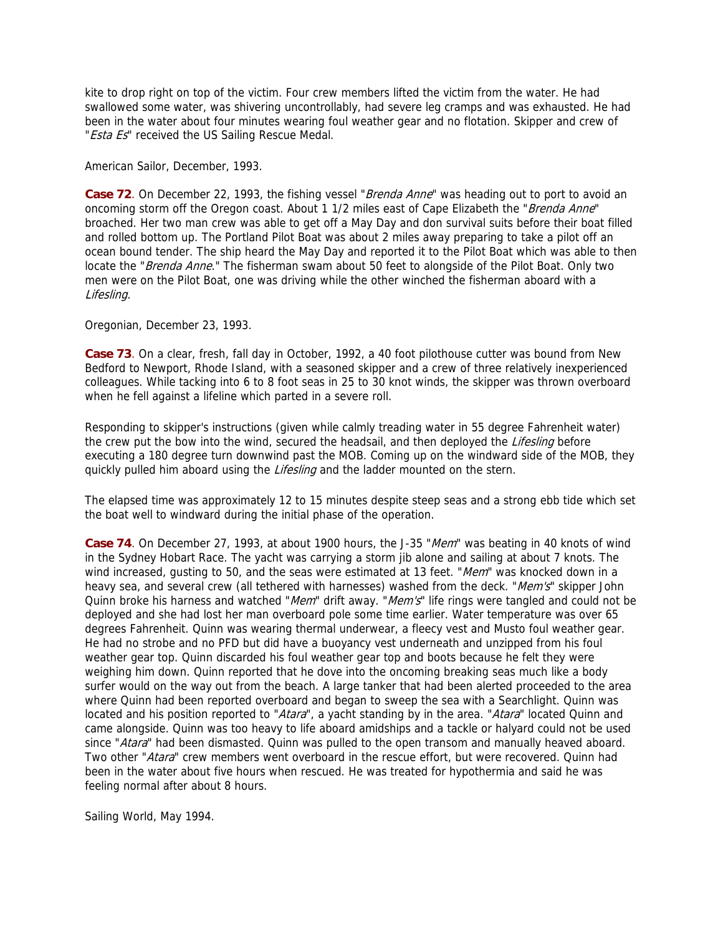kite to drop right on top of the victim. Four crew members lifted the victim from the water. He had swallowed some water, was shivering uncontrollably, had severe leg cramps and was exhausted. He had been in the water about four minutes wearing foul weather gear and no flotation. Skipper and crew of "Esta Es" received the US Sailing Rescue Medal.

American Sailor, December, 1993.

Case 72. On December 22, 1993, the fishing vessel "Brenda Anne" was heading out to port to avoid an oncoming storm off the Oregon coast. About 1 1/2 miles east of Cape Elizabeth the "Brenda Anne" broached. Her two man crew was able to get off a May Day and don survival suits before their boat filled and rolled bottom up. The Portland Pilot Boat was about 2 miles away preparing to take a pilot off an ocean bound tender. The ship heard the May Day and reported it to the Pilot Boat which was able to then locate the "Brenda Anne." The fisherman swam about 50 feet to alongside of the Pilot Boat. Only two men were on the Pilot Boat, one was driving while the other winched the fisherman aboard with a Lifesling.

Oregonian, December 23, 1993.

**Case 73**. On a clear, fresh, fall day in October, 1992, a 40 foot pilothouse cutter was bound from New Bedford to Newport, Rhode Island, with a seasoned skipper and a crew of three relatively inexperienced colleagues. While tacking into 6 to 8 foot seas in 25 to 30 knot winds, the skipper was thrown overboard when he fell against a lifeline which parted in a severe roll.

Responding to skipper's instructions (given while calmly treading water in 55 degree Fahrenheit water) the crew put the bow into the wind, secured the headsail, and then deployed the Lifesling before executing a 180 degree turn downwind past the MOB. Coming up on the windward side of the MOB, they quickly pulled him aboard using the Lifesling and the ladder mounted on the stern.

The elapsed time was approximately 12 to 15 minutes despite steep seas and a strong ebb tide which set the boat well to windward during the initial phase of the operation.

**Case 74**. On December 27, 1993, at about 1900 hours, the J-35 "Mem" was beating in 40 knots of wind in the Sydney Hobart Race. The yacht was carrying a storm jib alone and sailing at about 7 knots. The wind increased, gusting to 50, and the seas were estimated at 13 feet. "Mem" was knocked down in a heavy sea, and several crew (all tethered with harnesses) washed from the deck. "Mem's" skipper John Quinn broke his harness and watched "Mem" drift away. "Mem's" life rings were tangled and could not be deployed and she had lost her man overboard pole some time earlier. Water temperature was over 65 degrees Fahrenheit. Quinn was wearing thermal underwear, a fleecy vest and Musto foul weather gear. He had no strobe and no PFD but did have a buoyancy vest underneath and unzipped from his foul weather gear top. Quinn discarded his foul weather gear top and boots because he felt they were weighing him down. Quinn reported that he dove into the oncoming breaking seas much like a body surfer would on the way out from the beach. A large tanker that had been alerted proceeded to the area where Quinn had been reported overboard and began to sweep the sea with a Searchlight. Quinn was located and his position reported to "Atara", a yacht standing by in the area. "Atara" located Quinn and came alongside. Quinn was too heavy to life aboard amidships and a tackle or halyard could not be used since "Atara" had been dismasted. Quinn was pulled to the open transom and manually heaved aboard. Two other "Atara" crew members went overboard in the rescue effort, but were recovered. Quinn had been in the water about five hours when rescued. He was treated for hypothermia and said he was feeling normal after about 8 hours.

Sailing World, May 1994.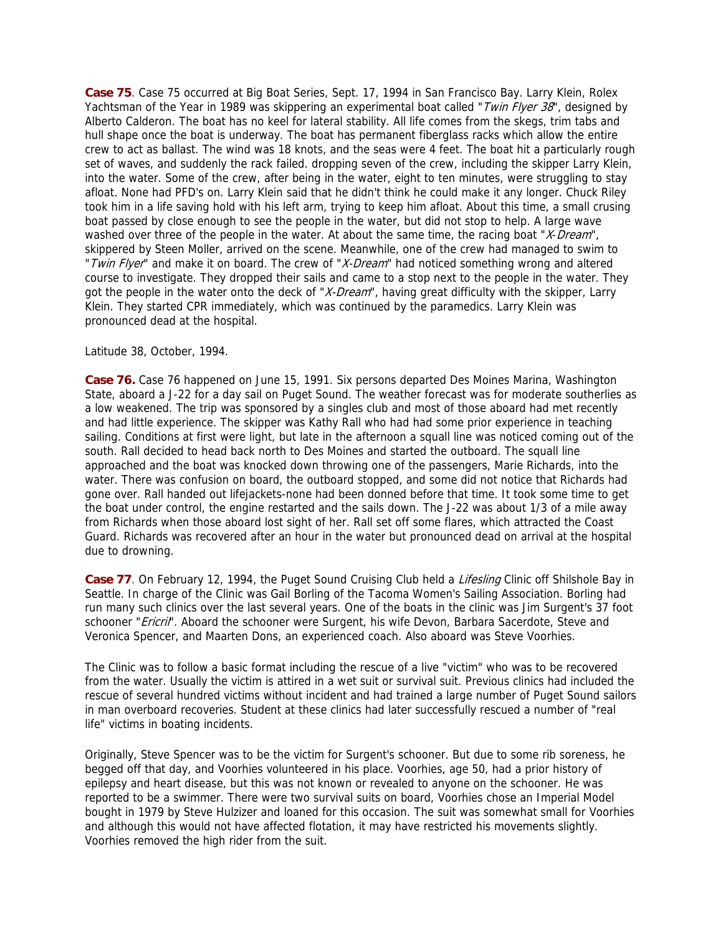**Case 75**. Case 75 occurred at Big Boat Series, Sept. 17, 1994 in San Francisco Bay. Larry Klein, Rolex Yachtsman of the Year in 1989 was skippering an experimental boat called "Twin Flyer 38", designed by Alberto Calderon. The boat has no keel for lateral stability. All life comes from the skegs, trim tabs and hull shape once the boat is underway. The boat has permanent fiberglass racks which allow the entire crew to act as ballast. The wind was 18 knots, and the seas were 4 feet. The boat hit a particularly rough set of waves, and suddenly the rack failed. dropping seven of the crew, including the skipper Larry Klein, into the water. Some of the crew, after being in the water, eight to ten minutes, were struggling to stay afloat. None had PFD's on. Larry Klein said that he didn't think he could make it any longer. Chuck Riley took him in a life saving hold with his left arm, trying to keep him afloat. About this time, a small crusing boat passed by close enough to see the people in the water, but did not stop to help. A large wave washed over three of the people in the water. At about the same time, the racing boat "X-Dream", skippered by Steen Moller, arrived on the scene. Meanwhile, one of the crew had managed to swim to " Twin Flyer" and make it on board. The crew of "X-Dream" had noticed something wrong and altered course to investigate. They dropped their sails and came to a stop next to the people in the water. They got the people in the water onto the deck of "X-Dream", having great difficulty with the skipper, Larry Klein. They started CPR immediately, which was continued by the paramedics. Larry Klein was pronounced dead at the hospital.

#### Latitude 38, October, 1994.

**Case 76.** Case 76 happened on June 15, 1991. Six persons departed Des Moines Marina, Washington State, aboard a J-22 for a day sail on Puget Sound. The weather forecast was for moderate southerlies as a low weakened. The trip was sponsored by a singles club and most of those aboard had met recently and had little experience. The skipper was Kathy Rall who had had some prior experience in teaching sailing. Conditions at first were light, but late in the afternoon a squall line was noticed coming out of the south. Rall decided to head back north to Des Moines and started the outboard. The squall line approached and the boat was knocked down throwing one of the passengers, Marie Richards, into the water. There was confusion on board, the outboard stopped, and some did not notice that Richards had gone over. Rall handed out lifejackets-none had been donned before that time. It took some time to get the boat under control, the engine restarted and the sails down. The J-22 was about 1/3 of a mile away from Richards when those aboard lost sight of her. Rall set off some flares, which attracted the Coast Guard. Richards was recovered after an hour in the water but pronounced dead on arrival at the hospital due to drowning.

Case 77. On February 12, 1994, the Puget Sound Cruising Club held a *Lifesling* Clinic off Shilshole Bay in Seattle. In charge of the Clinic was Gail Borling of the Tacoma Women's Sailing Association. Borling had run many such clinics over the last several years. One of the boats in the clinic was Jim Surgent's 37 foot schooner "Ericril". Aboard the schooner were Surgent, his wife Devon, Barbara Sacerdote, Steve and Veronica Spencer, and Maarten Dons, an experienced coach. Also aboard was Steve Voorhies.

The Clinic was to follow a basic format including the rescue of a live "victim" who was to be recovered from the water. Usually the victim is attired in a wet suit or survival suit. Previous clinics had included the rescue of several hundred victims without incident and had trained a large number of Puget Sound sailors in man overboard recoveries. Student at these clinics had later successfully rescued a number of "real life" victims in boating incidents.

Originally, Steve Spencer was to be the victim for Surgent's schooner. But due to some rib soreness, he begged off that day, and Voorhies volunteered in his place. Voorhies, age 50, had a prior history of epilepsy and heart disease, but this was not known or revealed to anyone on the schooner. He was reported to be a swimmer. There were two survival suits on board, Voorhies chose an Imperial Model bought in 1979 by Steve Hulzizer and loaned for this occasion. The suit was somewhat small for Voorhies and although this would not have affected flotation, it may have restricted his movements slightly. Voorhies removed the high rider from the suit.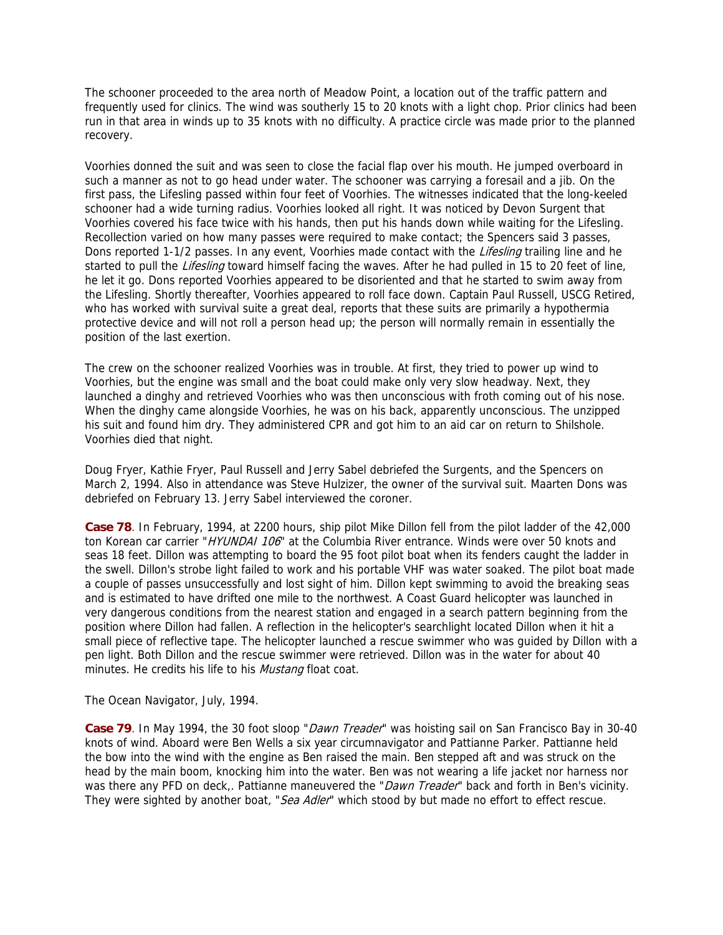The schooner proceeded to the area north of Meadow Point, a location out of the traffic pattern and frequently used for clinics. The wind was southerly 15 to 20 knots with a light chop. Prior clinics had been run in that area in winds up to 35 knots with no difficulty. A practice circle was made prior to the planned recovery.

Voorhies donned the suit and was seen to close the facial flap over his mouth. He jumped overboard in such a manner as not to go head under water. The schooner was carrying a foresail and a jib. On the first pass, the Lifesling passed within four feet of Voorhies. The witnesses indicated that the long-keeled schooner had a wide turning radius. Voorhies looked all right. It was noticed by Devon Surgent that Voorhies covered his face twice with his hands, then put his hands down while waiting for the Lifesling. Recollection varied on how many passes were required to make contact; the Spencers said 3 passes, Dons reported 1-1/2 passes. In any event, Voorhies made contact with the Lifesling trailing line and he started to pull the Lifesling toward himself facing the waves. After he had pulled in 15 to 20 feet of line, he let it go. Dons reported Voorhies appeared to be disoriented and that he started to swim away from the Lifesling. Shortly thereafter, Voorhies appeared to roll face down. Captain Paul Russell, USCG Retired, who has worked with survival suite a great deal, reports that these suits are primarily a hypothermia protective device and will not roll a person head up; the person will normally remain in essentially the position of the last exertion.

The crew on the schooner realized Voorhies was in trouble. At first, they tried to power up wind to Voorhies, but the engine was small and the boat could make only very slow headway. Next, they launched a dinghy and retrieved Voorhies who was then unconscious with froth coming out of his nose. When the dinghy came alongside Voorhies, he was on his back, apparently unconscious. The unzipped his suit and found him dry. They administered CPR and got him to an aid car on return to Shilshole. Voorhies died that night.

Doug Fryer, Kathie Fryer, Paul Russell and Jerry Sabel debriefed the Surgents, and the Spencers on March 2, 1994. Also in attendance was Steve Hulzizer, the owner of the survival suit. Maarten Dons was debriefed on February 13. Jerry Sabel interviewed the coroner.

**Case 78**. In February, 1994, at 2200 hours, ship pilot Mike Dillon fell from the pilot ladder of the 42,000 ton Korean car carrier "HYUNDAI 106" at the Columbia River entrance. Winds were over 50 knots and seas 18 feet. Dillon was attempting to board the 95 foot pilot boat when its fenders caught the ladder in the swell. Dillon's strobe light failed to work and his portable VHF was water soaked. The pilot boat made a couple of passes unsuccessfully and lost sight of him. Dillon kept swimming to avoid the breaking seas and is estimated to have drifted one mile to the northwest. A Coast Guard helicopter was launched in very dangerous conditions from the nearest station and engaged in a search pattern beginning from the position where Dillon had fallen. A reflection in the helicopter's searchlight located Dillon when it hit a small piece of reflective tape. The helicopter launched a rescue swimmer who was guided by Dillon with a pen light. Both Dillon and the rescue swimmer were retrieved. Dillon was in the water for about 40 minutes. He credits his life to his *Mustang* float coat.

The Ocean Navigator, July, 1994.

Case 79. In May 1994, the 30 foot sloop "*Dawn Treader*" was hoisting sail on San Francisco Bay in 30-40 knots of wind. Aboard were Ben Wells a six year circumnavigator and Pattianne Parker. Pattianne held the bow into the wind with the engine as Ben raised the main. Ben stepped aft and was struck on the head by the main boom, knocking him into the water. Ben was not wearing a life jacket nor harness nor was there any PFD on deck,. Pattianne maneuvered the "Dawn Treader" back and forth in Ben's vicinity. They were sighted by another boat, "Sea Adler" which stood by but made no effort to effect rescue.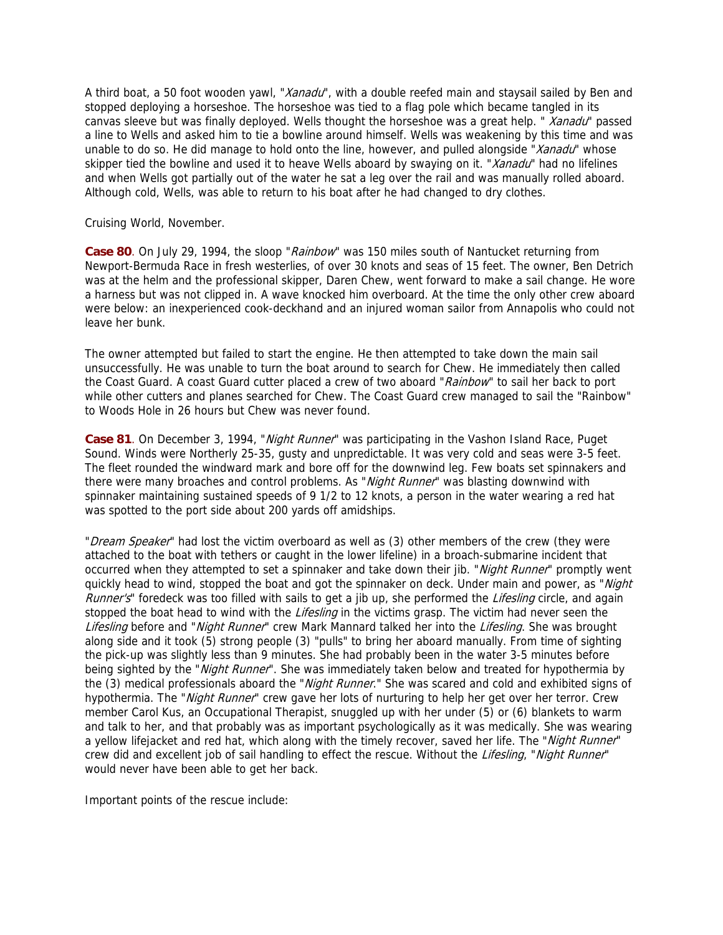A third boat, a 50 foot wooden yawl, "*Xanadu*", with a double reefed main and staysail sailed by Ben and stopped deploying a horseshoe. The horseshoe was tied to a flag pole which became tangled in its canvas sleeve but was finally deployed. Wells thought the horseshoe was a great help. " Xanadu" passed a line to Wells and asked him to tie a bowline around himself. Wells was weakening by this time and was unable to do so. He did manage to hold onto the line, however, and pulled alongside "Xanadu" whose skipper tied the bowline and used it to heave Wells aboard by swaying on it. "Xanadu" had no lifelines and when Wells got partially out of the water he sat a leg over the rail and was manually rolled aboard. Although cold, Wells, was able to return to his boat after he had changed to dry clothes.

Cruising World, November.

Case 80. On July 29, 1994, the sloop "Rainbow" was 150 miles south of Nantucket returning from Newport-Bermuda Race in fresh westerlies, of over 30 knots and seas of 15 feet. The owner, Ben Detrich was at the helm and the professional skipper, Daren Chew, went forward to make a sail change. He wore a harness but was not clipped in. A wave knocked him overboard. At the time the only other crew aboard were below: an inexperienced cook-deckhand and an injured woman sailor from Annapolis who could not leave her bunk.

The owner attempted but failed to start the engine. He then attempted to take down the main sail unsuccessfully. He was unable to turn the boat around to search for Chew. He immediately then called the Coast Guard. A coast Guard cutter placed a crew of two aboard "Rainbow" to sail her back to port while other cutters and planes searched for Chew. The Coast Guard crew managed to sail the "Rainbow" to Woods Hole in 26 hours but Chew was never found.

Case 81. On December 3, 1994, "*Night Runner*" was participating in the Vashon Island Race, Puget Sound. Winds were Northerly 25-35, gusty and unpredictable. It was very cold and seas were 3-5 feet. The fleet rounded the windward mark and bore off for the downwind leg. Few boats set spinnakers and there were many broaches and control problems. As "Night Runner" was blasting downwind with spinnaker maintaining sustained speeds of 9 1/2 to 12 knots, a person in the water wearing a red hat was spotted to the port side about 200 yards off amidships.

"Dream Speaker" had lost the victim overboard as well as (3) other members of the crew (they were attached to the boat with tethers or caught in the lower lifeline) in a broach-submarine incident that occurred when they attempted to set a spinnaker and take down their jib. "Night Runner" promptly went quickly head to wind, stopped the boat and got the spinnaker on deck. Under main and power, as "Night Runner's" foredeck was too filled with sails to get a jib up, she performed the Lifesling circle, and again stopped the boat head to wind with the *Lifesling* in the victims grasp. The victim had never seen the Lifesling before and "Night Runner" crew Mark Mannard talked her into the Lifesling. She was brought along side and it took (5) strong people (3) "pulls" to bring her aboard manually. From time of sighting the pick-up was slightly less than 9 minutes. She had probably been in the water 3-5 minutes before being sighted by the "Night Runner". She was immediately taken below and treated for hypothermia by the (3) medical professionals aboard the "Night Runner." She was scared and cold and exhibited signs of hypothermia. The "Night Runner" crew gave her lots of nurturing to help her get over her terror. Crew member Carol Kus, an Occupational Therapist, snuggled up with her under (5) or (6) blankets to warm and talk to her, and that probably was as important psychologically as it was medically. She was wearing a yellow lifejacket and red hat, which along with the timely recover, saved her life. The "Night Runner" crew did and excellent job of sail handling to effect the rescue. Without the Lifesling, "Night Runner" would never have been able to get her back.

Important points of the rescue include: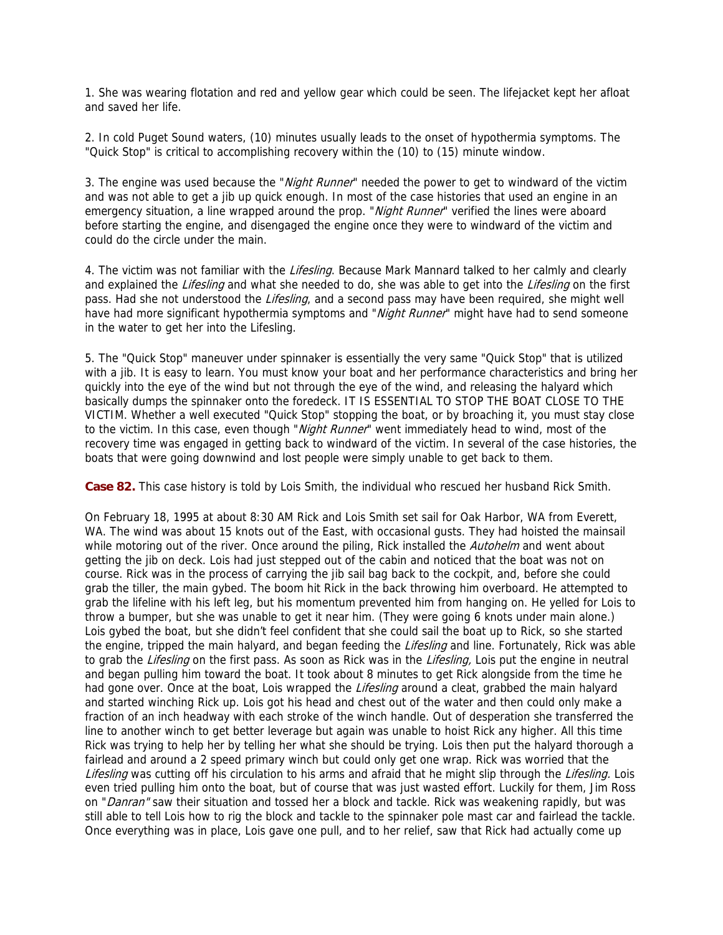1. She was wearing flotation and red and yellow gear which could be seen. The lifejacket kept her afloat and saved her life.

2. In cold Puget Sound waters, (10) minutes usually leads to the onset of hypothermia symptoms. The "Quick Stop" is critical to accomplishing recovery within the (10) to (15) minute window.

3. The engine was used because the "*Night Runner*" needed the power to get to windward of the victim and was not able to get a jib up quick enough. In most of the case histories that used an engine in an emergency situation, a line wrapped around the prop. "Night Runner" verified the lines were aboard before starting the engine, and disengaged the engine once they were to windward of the victim and could do the circle under the main.

4. The victim was not familiar with the *Lifesling*. Because Mark Mannard talked to her calmly and clearly and explained the Lifesling and what she needed to do, she was able to get into the Lifesling on the first pass. Had she not understood the *Lifesling*, and a second pass may have been required, she might well have had more significant hypothermia symptoms and "Night Runner" might have had to send someone in the water to get her into the Lifesling.

5. The "Quick Stop" maneuver under spinnaker is essentially the very same "Quick Stop" that is utilized with a jib. It is easy to learn. You must know your boat and her performance characteristics and bring her quickly into the eye of the wind but not through the eye of the wind, and releasing the halyard which basically dumps the spinnaker onto the foredeck. IT IS ESSENTIAL TO STOP THE BOAT CLOSE TO THE VICTIM. Whether a well executed "Quick Stop" stopping the boat, or by broaching it, you must stay close to the victim. In this case, even though "Night Runner" went immediately head to wind, most of the recovery time was engaged in getting back to windward of the victim. In several of the case histories, the boats that were going downwind and lost people were simply unable to get back to them.

**Case 82.** This case history is told by Lois Smith, the individual who rescued her husband Rick Smith.

On February 18, 1995 at about 8:30 AM Rick and Lois Smith set sail for Oak Harbor, WA from Everett, WA. The wind was about 15 knots out of the East, with occasional gusts. They had hoisted the mainsail while motoring out of the river. Once around the piling, Rick installed the Autohelm and went about getting the jib on deck. Lois had just stepped out of the cabin and noticed that the boat was not on course. Rick was in the process of carrying the jib sail bag back to the cockpit, and, before she could grab the tiller, the main gybed. The boom hit Rick in the back throwing him overboard. He attempted to grab the lifeline with his left leg, but his momentum prevented him from hanging on. He yelled for Lois to throw a bumper, but she was unable to get it near him. (They were going 6 knots under main alone.) Lois gybed the boat, but she didn't feel confident that she could sail the boat up to Rick, so she started the engine, tripped the main halyard, and began feeding the Lifesling and line. Fortunately, Rick was able to grab the Lifesling on the first pass. As soon as Rick was in the Lifesling, Lois put the engine in neutral and began pulling him toward the boat. It took about 8 minutes to get Rick alongside from the time he had gone over. Once at the boat, Lois wrapped the *Lifesling* around a cleat, grabbed the main halyard and started winching Rick up. Lois got his head and chest out of the water and then could only make a fraction of an inch headway with each stroke of the winch handle. Out of desperation she transferred the line to another winch to get better leverage but again was unable to hoist Rick any higher. All this time Rick was trying to help her by telling her what she should be trying. Lois then put the halyard thorough a fairlead and around a 2 speed primary winch but could only get one wrap. Rick was worried that the Lifesling was cutting off his circulation to his arms and afraid that he might slip through the Lifesling. Lois even tried pulling him onto the boat, but of course that was just wasted effort. Luckily for them, Jim Ross on "*Danran*" saw their situation and tossed her a block and tackle. Rick was weakening rapidly, but was still able to tell Lois how to rig the block and tackle to the spinnaker pole mast car and fairlead the tackle. Once everything was in place, Lois gave one pull, and to her relief, saw that Rick had actually come up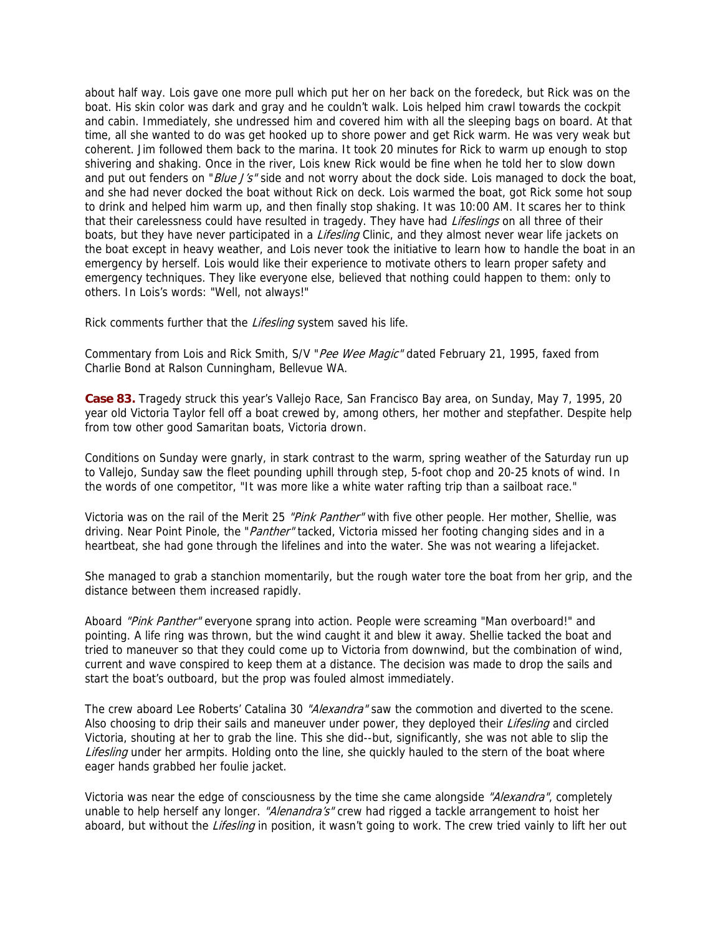about half way. Lois gave one more pull which put her on her back on the foredeck, but Rick was on the boat. His skin color was dark and gray and he couldn't walk. Lois helped him crawl towards the cockpit and cabin. Immediately, she undressed him and covered him with all the sleeping bags on board. At that time, all she wanted to do was get hooked up to shore power and get Rick warm. He was very weak but coherent. Jim followed them back to the marina. It took 20 minutes for Rick to warm up enough to stop shivering and shaking. Once in the river, Lois knew Rick would be fine when he told her to slow down and put out fenders on "*Blue J's*" side and not worry about the dock side. Lois managed to dock the boat, and she had never docked the boat without Rick on deck. Lois warmed the boat, got Rick some hot soup to drink and helped him warm up, and then finally stop shaking. It was 10:00 AM. It scares her to think that their carelessness could have resulted in tragedy. They have had Lifeslings on all three of their boats, but they have never participated in a *Lifesling* Clinic, and they almost never wear life jackets on the boat except in heavy weather, and Lois never took the initiative to learn how to handle the boat in an emergency by herself. Lois would like their experience to motivate others to learn proper safety and emergency techniques. They like everyone else, believed that nothing could happen to them: only to others. In Lois's words: "Well, not always!"

Rick comments further that the Lifesling system saved his life.

Commentary from Lois and Rick Smith, S/V "Pee Wee Magic" dated February 21, 1995, faxed from Charlie Bond at Ralson Cunningham, Bellevue WA.

**Case 83.** Tragedy struck this year's Vallejo Race, San Francisco Bay area, on Sunday, May 7, 1995, 20 year old Victoria Taylor fell off a boat crewed by, among others, her mother and stepfather. Despite help from tow other good Samaritan boats, Victoria drown.

Conditions on Sunday were gnarly, in stark contrast to the warm, spring weather of the Saturday run up to Vallejo, Sunday saw the fleet pounding uphill through step, 5-foot chop and 20-25 knots of wind. In the words of one competitor, "It was more like a white water rafting trip than a sailboat race."

Victoria was on the rail of the Merit 25 "Pink Panther" with five other people. Her mother, Shellie, was driving. Near Point Pinole, the "*Panther*" tacked, Victoria missed her footing changing sides and in a heartbeat, she had gone through the lifelines and into the water. She was not wearing a lifejacket.

She managed to grab a stanchion momentarily, but the rough water tore the boat from her grip, and the distance between them increased rapidly.

Aboard "Pink Panther" everyone sprang into action. People were screaming "Man overboard!" and pointing. A life ring was thrown, but the wind caught it and blew it away. Shellie tacked the boat and tried to maneuver so that they could come up to Victoria from downwind, but the combination of wind, current and wave conspired to keep them at a distance. The decision was made to drop the sails and start the boat's outboard, but the prop was fouled almost immediately.

The crew aboard Lee Roberts' Catalina 30 "Alexandra" saw the commotion and diverted to the scene. Also choosing to drip their sails and maneuver under power, they deployed their Lifesling and circled Victoria, shouting at her to grab the line. This she did--but, significantly, she was not able to slip the Lifesling under her armpits. Holding onto the line, she quickly hauled to the stern of the boat where eager hands grabbed her foulie jacket.

Victoria was near the edge of consciousness by the time she came alongside "Alexandra", completely unable to help herself any longer. "Alenandra's" crew had rigged a tackle arrangement to hoist her aboard, but without the *Lifesling* in position, it wasn't going to work. The crew tried vainly to lift her out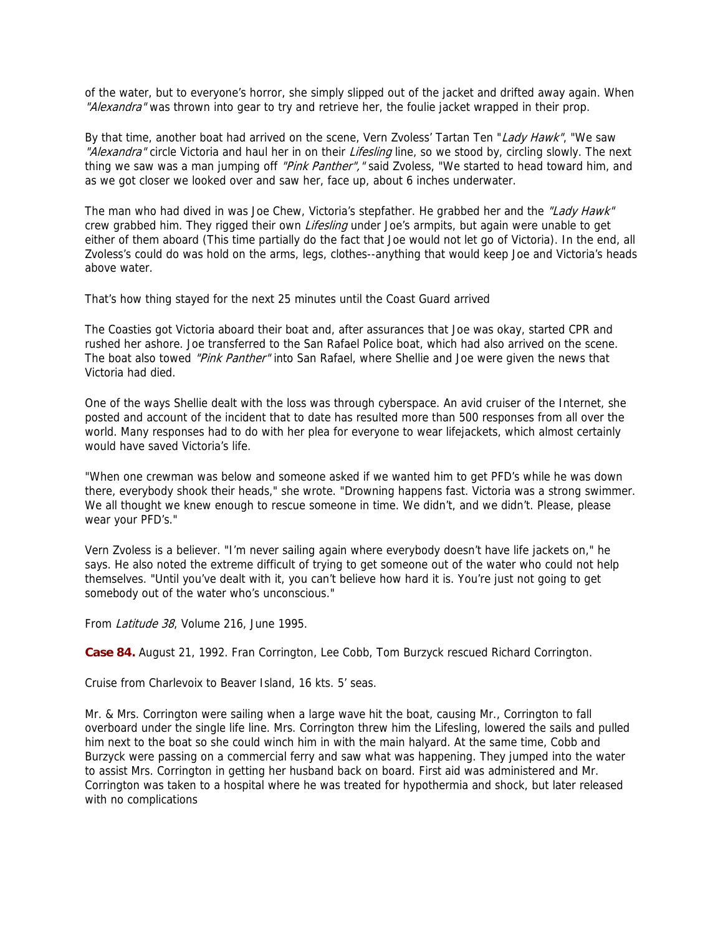of the water, but to everyone's horror, she simply slipped out of the jacket and drifted away again. When "Alexandra" was thrown into gear to try and retrieve her, the foulie jacket wrapped in their prop.

By that time, another boat had arrived on the scene, Vern Zvoless' Tartan Ten "Lady Hawk", "We saw "Alexandra" circle Victoria and haul her in on their Lifesling line, so we stood by, circling slowly. The next thing we saw was a man jumping off "Pink Panther", "said Zvoless, "We started to head toward him, and as we got closer we looked over and saw her, face up, about 6 inches underwater.

The man who had dived in was Joe Chew, Victoria's stepfather. He grabbed her and the "Lady Hawk" crew grabbed him. They rigged their own Lifesling under Joe's armpits, but again were unable to get either of them aboard (This time partially do the fact that Joe would not let go of Victoria). In the end, all Zvoless's could do was hold on the arms, legs, clothes--anything that would keep Joe and Victoria's heads above water.

That's how thing stayed for the next 25 minutes until the Coast Guard arrived

The Coasties got Victoria aboard their boat and, after assurances that Joe was okay, started CPR and rushed her ashore. Joe transferred to the San Rafael Police boat, which had also arrived on the scene. The boat also towed "Pink Panther" into San Rafael, where Shellie and Joe were given the news that Victoria had died.

One of the ways Shellie dealt with the loss was through cyberspace. An avid cruiser of the Internet, she posted and account of the incident that to date has resulted more than 500 responses from all over the world. Many responses had to do with her plea for everyone to wear lifejackets, which almost certainly would have saved Victoria's life.

"When one crewman was below and someone asked if we wanted him to get PFD's while he was down there, everybody shook their heads," she wrote. "Drowning happens fast. Victoria was a strong swimmer. We all thought we knew enough to rescue someone in time. We didn't, and we didn't. Please, please wear your PFD's."

Vern Zvoless is a believer. "I'm never sailing again where everybody doesn't have life jackets on," he says. He also noted the extreme difficult of trying to get someone out of the water who could not help themselves. "Until you've dealt with it, you can't believe how hard it is. You're just not going to get somebody out of the water who's unconscious."

From Latitude 38, Volume 216, June 1995.

**Case 84.** August 21, 1992. Fran Corrington, Lee Cobb, Tom Burzyck rescued Richard Corrington.

Cruise from Charlevoix to Beaver Island, 16 kts. 5' seas.

Mr. & Mrs. Corrington were sailing when a large wave hit the boat, causing Mr., Corrington to fall overboard under the single life line. Mrs. Corrington threw him the Lifesling, lowered the sails and pulled him next to the boat so she could winch him in with the main halyard. At the same time, Cobb and Burzyck were passing on a commercial ferry and saw what was happening. They jumped into the water to assist Mrs. Corrington in getting her husband back on board. First aid was administered and Mr. Corrington was taken to a hospital where he was treated for hypothermia and shock, but later released with no complications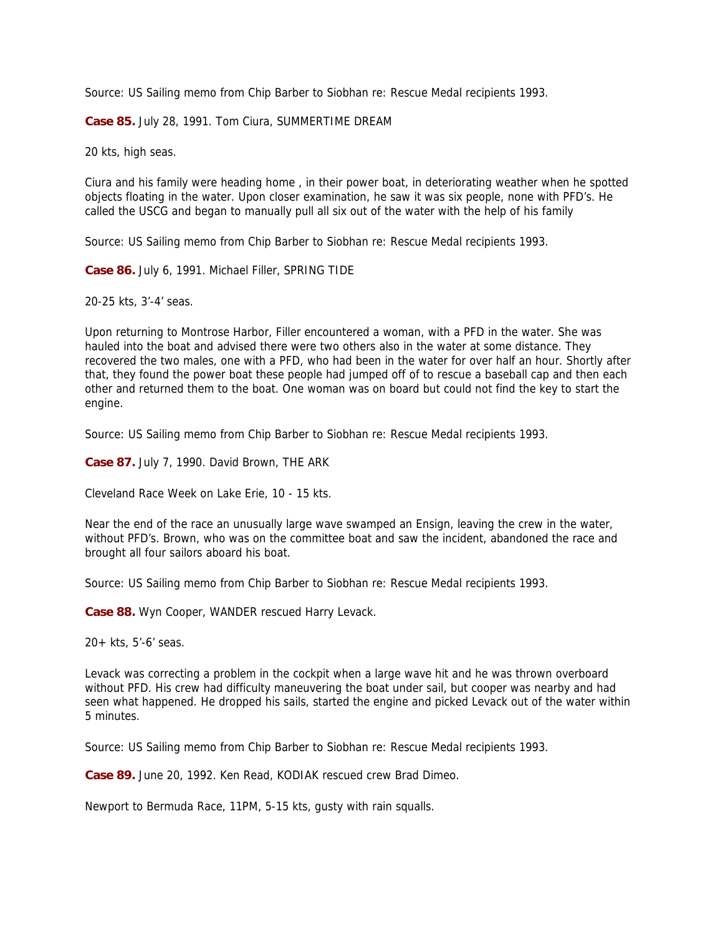Source: US Sailing memo from Chip Barber to Siobhan re: Rescue Medal recipients 1993.

**Case 85.** July 28, 1991. Tom Ciura, SUMMERTIME DREAM

20 kts, high seas.

Ciura and his family were heading home , in their power boat, in deteriorating weather when he spotted objects floating in the water. Upon closer examination, he saw it was six people, none with PFD's. He called the USCG and began to manually pull all six out of the water with the help of his family

Source: US Sailing memo from Chip Barber to Siobhan re: Rescue Medal recipients 1993.

**Case 86.** July 6, 1991. Michael Filler, SPRING TIDE

20-25 kts, 3'-4' seas.

Upon returning to Montrose Harbor, Filler encountered a woman, with a PFD in the water. She was hauled into the boat and advised there were two others also in the water at some distance. They recovered the two males, one with a PFD, who had been in the water for over half an hour. Shortly after that, they found the power boat these people had jumped off of to rescue a baseball cap and then each other and returned them to the boat. One woman was on board but could not find the key to start the engine.

Source: US Sailing memo from Chip Barber to Siobhan re: Rescue Medal recipients 1993.

**Case 87.** July 7, 1990. David Brown, THE ARK

Cleveland Race Week on Lake Erie, 10 - 15 kts.

Near the end of the race an unusually large wave swamped an Ensign, leaving the crew in the water, without PFD's. Brown, who was on the committee boat and saw the incident, abandoned the race and brought all four sailors aboard his boat.

Source: US Sailing memo from Chip Barber to Siobhan re: Rescue Medal recipients 1993.

**Case 88.** Wyn Cooper, WANDER rescued Harry Levack.

20+ kts, 5'-6' seas.

Levack was correcting a problem in the cockpit when a large wave hit and he was thrown overboard without PFD. His crew had difficulty maneuvering the boat under sail, but cooper was nearby and had seen what happened. He dropped his sails, started the engine and picked Levack out of the water within 5 minutes.

Source: US Sailing memo from Chip Barber to Siobhan re: Rescue Medal recipients 1993.

**Case 89.** June 20, 1992. Ken Read, KODIAK rescued crew Brad Dimeo.

Newport to Bermuda Race, 11PM, 5-15 kts, gusty with rain squalls.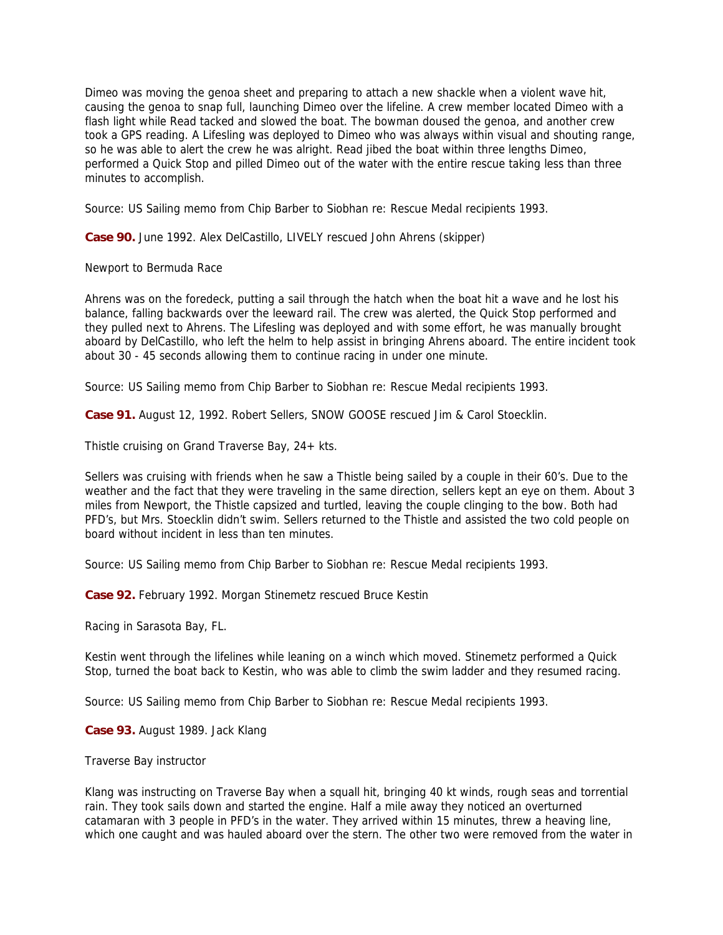Dimeo was moving the genoa sheet and preparing to attach a new shackle when a violent wave hit, causing the genoa to snap full, launching Dimeo over the lifeline. A crew member located Dimeo with a flash light while Read tacked and slowed the boat. The bowman doused the genoa, and another crew took a GPS reading. A Lifesling was deployed to Dimeo who was always within visual and shouting range, so he was able to alert the crew he was alright. Read jibed the boat within three lengths Dimeo, performed a Quick Stop and pilled Dimeo out of the water with the entire rescue taking less than three minutes to accomplish.

Source: US Sailing memo from Chip Barber to Siobhan re: Rescue Medal recipients 1993.

**Case 90.** June 1992. Alex DelCastillo, LIVELY rescued John Ahrens (skipper)

Newport to Bermuda Race

Ahrens was on the foredeck, putting a sail through the hatch when the boat hit a wave and he lost his balance, falling backwards over the leeward rail. The crew was alerted, the Quick Stop performed and they pulled next to Ahrens. The Lifesling was deployed and with some effort, he was manually brought aboard by DelCastillo, who left the helm to help assist in bringing Ahrens aboard. The entire incident took about 30 - 45 seconds allowing them to continue racing in under one minute.

Source: US Sailing memo from Chip Barber to Siobhan re: Rescue Medal recipients 1993.

**Case 91.** August 12, 1992. Robert Sellers, SNOW GOOSE rescued Jim & Carol Stoecklin.

Thistle cruising on Grand Traverse Bay, 24+ kts.

Sellers was cruising with friends when he saw a Thistle being sailed by a couple in their 60's. Due to the weather and the fact that they were traveling in the same direction, sellers kept an eye on them. About 3 miles from Newport, the Thistle capsized and turtled, leaving the couple clinging to the bow. Both had PFD's, but Mrs. Stoecklin didn't swim. Sellers returned to the Thistle and assisted the two cold people on board without incident in less than ten minutes.

Source: US Sailing memo from Chip Barber to Siobhan re: Rescue Medal recipients 1993.

**Case 92.** February 1992. Morgan Stinemetz rescued Bruce Kestin

Racing in Sarasota Bay, FL.

Kestin went through the lifelines while leaning on a winch which moved. Stinemetz performed a Quick Stop, turned the boat back to Kestin, who was able to climb the swim ladder and they resumed racing.

Source: US Sailing memo from Chip Barber to Siobhan re: Rescue Medal recipients 1993.

**Case 93.** August 1989. Jack Klang

Traverse Bay instructor

Klang was instructing on Traverse Bay when a squall hit, bringing 40 kt winds, rough seas and torrential rain. They took sails down and started the engine. Half a mile away they noticed an overturned catamaran with 3 people in PFD's in the water. They arrived within 15 minutes, threw a heaving line, which one caught and was hauled aboard over the stern. The other two were removed from the water in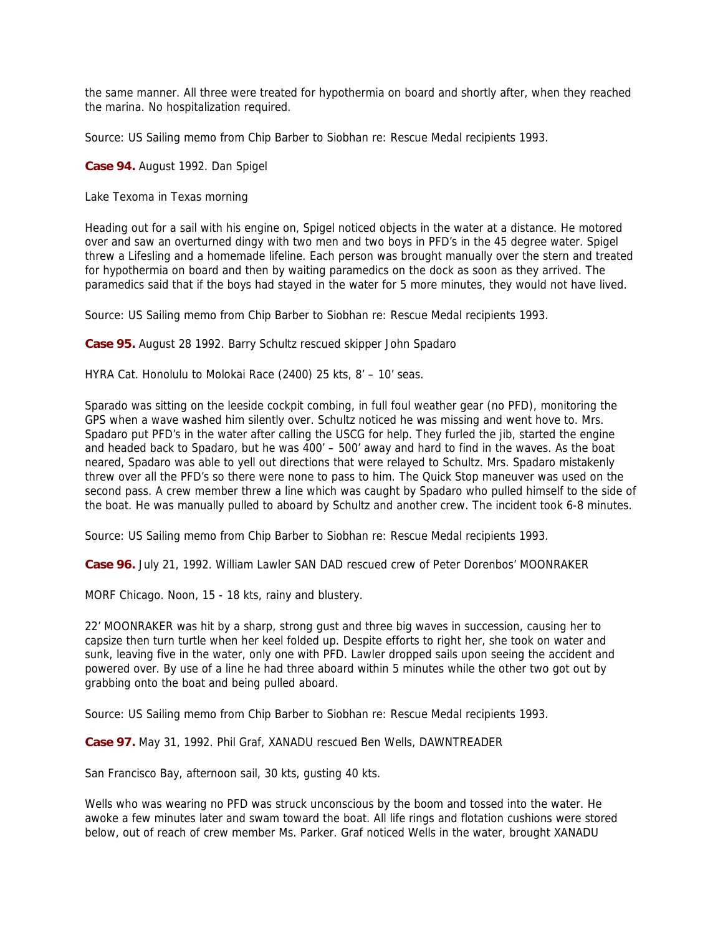the same manner. All three were treated for hypothermia on board and shortly after, when they reached the marina. No hospitalization required.

Source: US Sailing memo from Chip Barber to Siobhan re: Rescue Medal recipients 1993.

**Case 94.** August 1992. Dan Spigel

Lake Texoma in Texas morning

Heading out for a sail with his engine on, Spigel noticed objects in the water at a distance. He motored over and saw an overturned dingy with two men and two boys in PFD's in the 45 degree water. Spigel threw a Lifesling and a homemade lifeline. Each person was brought manually over the stern and treated for hypothermia on board and then by waiting paramedics on the dock as soon as they arrived. The paramedics said that if the boys had stayed in the water for 5 more minutes, they would not have lived.

Source: US Sailing memo from Chip Barber to Siobhan re: Rescue Medal recipients 1993.

**Case 95.** August 28 1992. Barry Schultz rescued skipper John Spadaro

HYRA Cat. Honolulu to Molokai Race (2400) 25 kts, 8' – 10' seas.

Sparado was sitting on the leeside cockpit combing, in full foul weather gear (no PFD), monitoring the GPS when a wave washed him silently over. Schultz noticed he was missing and went hove to. Mrs. Spadaro put PFD's in the water after calling the USCG for help. They furled the jib, started the engine and headed back to Spadaro, but he was 400' – 500' away and hard to find in the waves. As the boat neared, Spadaro was able to yell out directions that were relayed to Schultz. Mrs. Spadaro mistakenly threw over all the PFD's so there were none to pass to him. The Quick Stop maneuver was used on the second pass. A crew member threw a line which was caught by Spadaro who pulled himself to the side of the boat. He was manually pulled to aboard by Schultz and another crew. The incident took 6-8 minutes.

Source: US Sailing memo from Chip Barber to Siobhan re: Rescue Medal recipients 1993.

**Case 96.** July 21, 1992. William Lawler SAN DAD rescued crew of Peter Dorenbos' MOONRAKER

MORF Chicago. Noon, 15 - 18 kts, rainy and blustery.

22' MOONRAKER was hit by a sharp, strong gust and three big waves in succession, causing her to capsize then turn turtle when her keel folded up. Despite efforts to right her, she took on water and sunk, leaving five in the water, only one with PFD. Lawler dropped sails upon seeing the accident and powered over. By use of a line he had three aboard within 5 minutes while the other two got out by grabbing onto the boat and being pulled aboard.

Source: US Sailing memo from Chip Barber to Siobhan re: Rescue Medal recipients 1993.

**Case 97.** May 31, 1992. Phil Graf, XANADU rescued Ben Wells, DAWNTREADER

San Francisco Bay, afternoon sail, 30 kts, gusting 40 kts.

Wells who was wearing no PFD was struck unconscious by the boom and tossed into the water. He awoke a few minutes later and swam toward the boat. All life rings and flotation cushions were stored below, out of reach of crew member Ms. Parker. Graf noticed Wells in the water, brought XANADU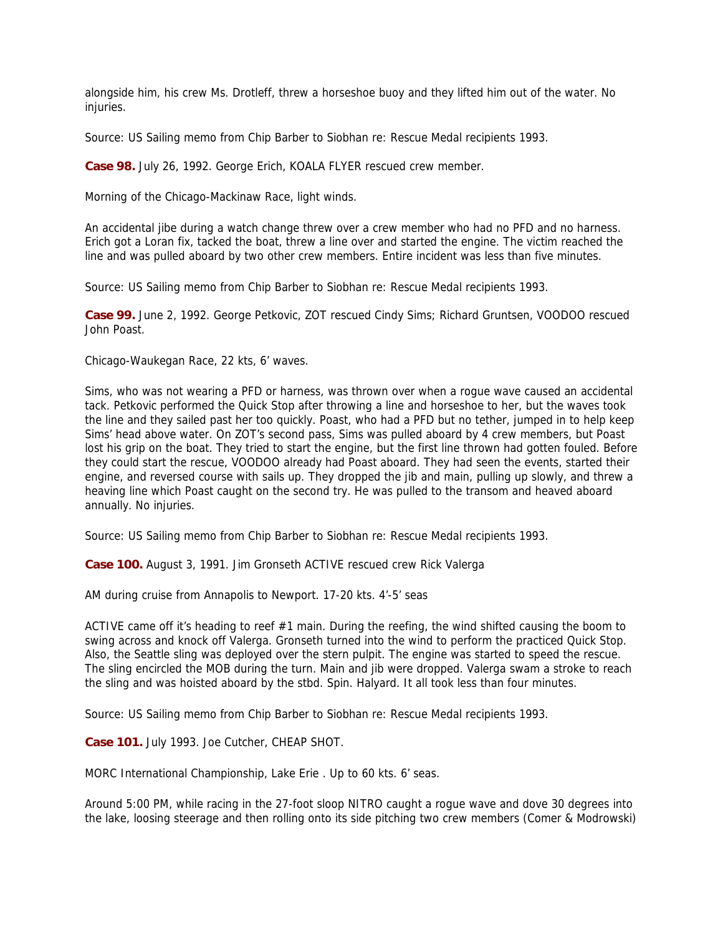alongside him, his crew Ms. Drotleff, threw a horseshoe buoy and they lifted him out of the water. No injuries.

Source: US Sailing memo from Chip Barber to Siobhan re: Rescue Medal recipients 1993.

**Case 98.** July 26, 1992. George Erich, KOALA FLYER rescued crew member.

Morning of the Chicago-Mackinaw Race, light winds.

An accidental jibe during a watch change threw over a crew member who had no PFD and no harness. Erich got a Loran fix, tacked the boat, threw a line over and started the engine. The victim reached the line and was pulled aboard by two other crew members. Entire incident was less than five minutes.

Source: US Sailing memo from Chip Barber to Siobhan re: Rescue Medal recipients 1993.

**Case 99.** June 2, 1992. George Petkovic, ZOT rescued Cindy Sims; Richard Gruntsen, VOODOO rescued John Poast.

Chicago-Waukegan Race, 22 kts, 6' waves.

Sims, who was not wearing a PFD or harness, was thrown over when a rogue wave caused an accidental tack. Petkovic performed the Quick Stop after throwing a line and horseshoe to her, but the waves took the line and they sailed past her too quickly. Poast, who had a PFD but no tether, jumped in to help keep Sims' head above water. On ZOT's second pass, Sims was pulled aboard by 4 crew members, but Poast lost his grip on the boat. They tried to start the engine, but the first line thrown had gotten fouled. Before they could start the rescue, VOODOO already had Poast aboard. They had seen the events, started their engine, and reversed course with sails up. They dropped the jib and main, pulling up slowly, and threw a heaving line which Poast caught on the second try. He was pulled to the transom and heaved aboard annually. No injuries.

Source: US Sailing memo from Chip Barber to Siobhan re: Rescue Medal recipients 1993.

**Case 100.** August 3, 1991. Jim Gronseth ACTIVE rescued crew Rick Valerga

AM during cruise from Annapolis to Newport. 17-20 kts. 4'-5' seas

ACTIVE came off it's heading to reef #1 main. During the reefing, the wind shifted causing the boom to swing across and knock off Valerga. Gronseth turned into the wind to perform the practiced Quick Stop. Also, the Seattle sling was deployed over the stern pulpit. The engine was started to speed the rescue. The sling encircled the MOB during the turn. Main and jib were dropped. Valerga swam a stroke to reach the sling and was hoisted aboard by the stbd. Spin. Halyard. It all took less than four minutes.

Source: US Sailing memo from Chip Barber to Siobhan re: Rescue Medal recipients 1993.

**Case 101.** July 1993. Joe Cutcher, CHEAP SHOT.

MORC International Championship, Lake Erie . Up to 60 kts. 6' seas.

Around 5:00 PM, while racing in the 27-foot sloop NITRO caught a rogue wave and dove 30 degrees into the lake, loosing steerage and then rolling onto its side pitching two crew members (Comer & Modrowski)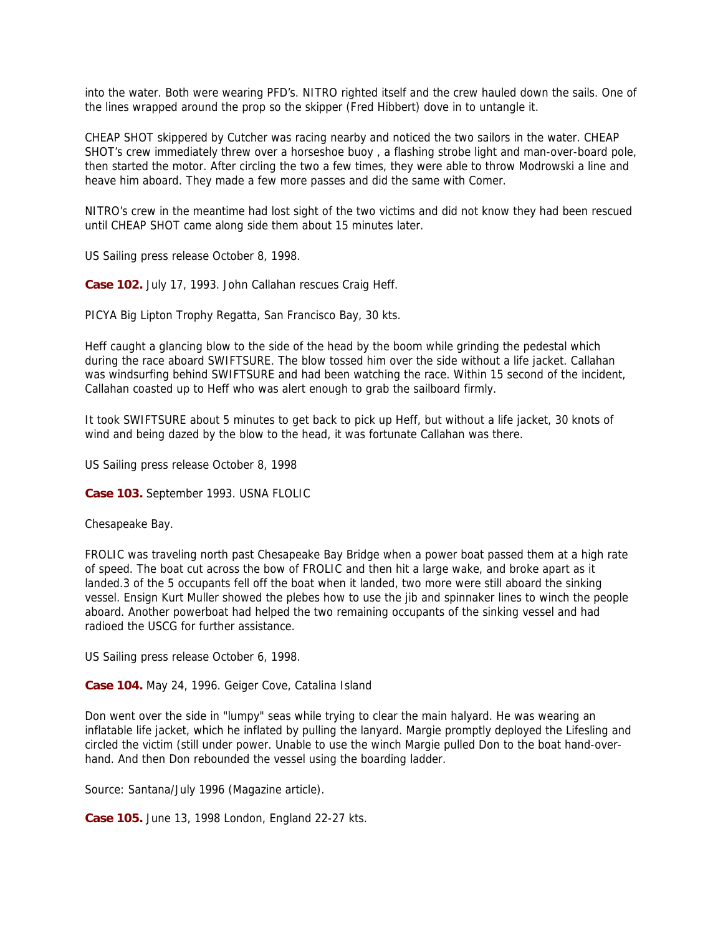into the water. Both were wearing PFD's. NITRO righted itself and the crew hauled down the sails. One of the lines wrapped around the prop so the skipper (Fred Hibbert) dove in to untangle it.

CHEAP SHOT skippered by Cutcher was racing nearby and noticed the two sailors in the water. CHEAP SHOT's crew immediately threw over a horseshoe buoy , a flashing strobe light and man-over-board pole, then started the motor. After circling the two a few times, they were able to throw Modrowski a line and heave him aboard. They made a few more passes and did the same with Comer.

NITRO's crew in the meantime had lost sight of the two victims and did not know they had been rescued until CHEAP SHOT came along side them about 15 minutes later.

US Sailing press release October 8, 1998.

**Case 102.** July 17, 1993. John Callahan rescues Craig Heff.

PICYA Big Lipton Trophy Regatta, San Francisco Bay, 30 kts.

Heff caught a glancing blow to the side of the head by the boom while grinding the pedestal which during the race aboard SWIFTSURE. The blow tossed him over the side without a life jacket. Callahan was windsurfing behind SWIFTSURE and had been watching the race. Within 15 second of the incident, Callahan coasted up to Heff who was alert enough to grab the sailboard firmly.

It took SWIFTSURE about 5 minutes to get back to pick up Heff, but without a life jacket, 30 knots of wind and being dazed by the blow to the head, it was fortunate Callahan was there.

US Sailing press release October 8, 1998

**Case 103.** September 1993. USNA FLOLIC

Chesapeake Bay.

FROLIC was traveling north past Chesapeake Bay Bridge when a power boat passed them at a high rate of speed. The boat cut across the bow of FROLIC and then hit a large wake, and broke apart as it landed.3 of the 5 occupants fell off the boat when it landed, two more were still aboard the sinking vessel. Ensign Kurt Muller showed the plebes how to use the jib and spinnaker lines to winch the people aboard. Another powerboat had helped the two remaining occupants of the sinking vessel and had radioed the USCG for further assistance.

US Sailing press release October 6, 1998.

**Case 104.** May 24, 1996. Geiger Cove, Catalina Island

Don went over the side in "lumpy" seas while trying to clear the main halyard. He was wearing an inflatable life jacket, which he inflated by pulling the lanyard. Margie promptly deployed the Lifesling and circled the victim (still under power. Unable to use the winch Margie pulled Don to the boat hand-overhand. And then Don rebounded the vessel using the boarding ladder.

Source: Santana/July 1996 (Magazine article).

**Case 105.** June 13, 1998 London, England 22-27 kts.